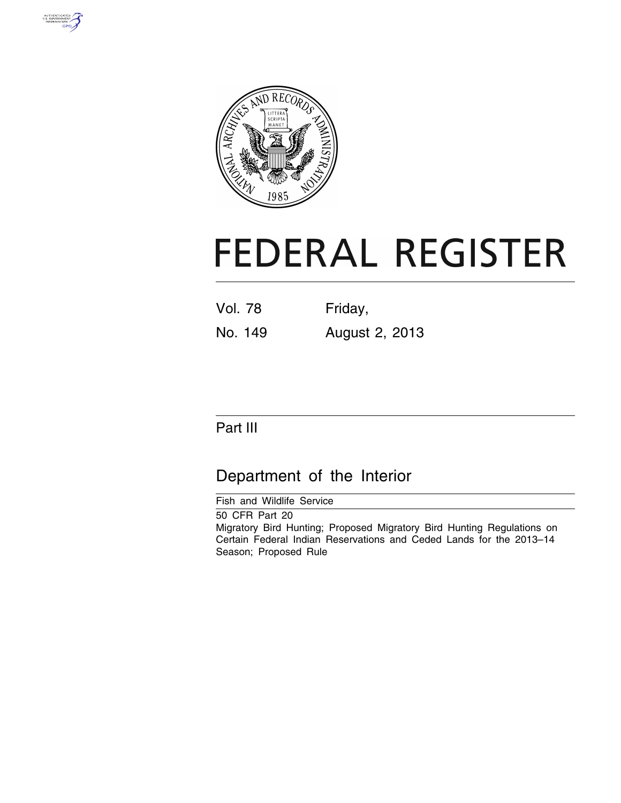



# **FEDERAL REGISTER**

| <b>Vol. 78</b> | Friday,        |
|----------------|----------------|
| No. 149        | August 2, 2013 |

# Part III

# Department of the Interior

Fish and Wildlife Service

50 CFR Part 20 Migratory Bird Hunting; Proposed Migratory Bird Hunting Regulations on Certain Federal Indian Reservations and Ceded Lands for the 2013–14 Season; Proposed Rule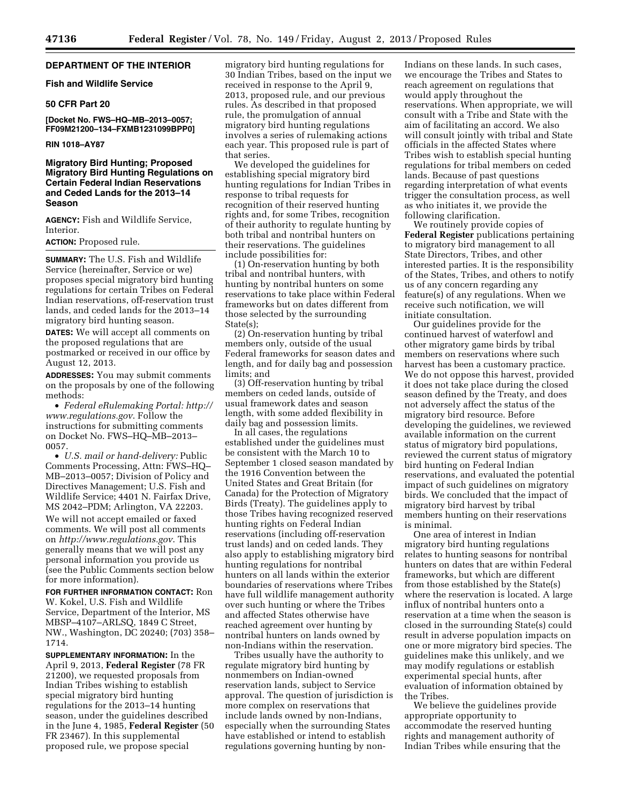# **DEPARTMENT OF THE INTERIOR**

#### **Fish and Wildlife Service**

#### **50 CFR Part 20**

**[Docket No. FWS–HQ–MB–2013–0057; FF09M21200–134–FXMB1231099BPP0]** 

#### **RIN 1018–AY87**

#### **Migratory Bird Hunting; Proposed Migratory Bird Hunting Regulations on Certain Federal Indian Reservations and Ceded Lands for the 2013–14 Season**

**AGENCY:** Fish and Wildlife Service, Interior.

#### **ACTION:** Proposed rule.

**SUMMARY:** The U.S. Fish and Wildlife Service (hereinafter, Service or we) proposes special migratory bird hunting regulations for certain Tribes on Federal Indian reservations, off-reservation trust lands, and ceded lands for the 2013–14 migratory bird hunting season.

**DATES:** We will accept all comments on the proposed regulations that are postmarked or received in our office by August 12, 2013.

**ADDRESSES:** You may submit comments on the proposals by one of the following methods:

• *Federal eRulemaking Portal: [http://](http://www.regulations.gov)  [www.regulations.gov](http://www.regulations.gov)*. Follow the instructions for submitting comments on Docket No. FWS–HQ–MB–2013– 0057.

• *U.S. mail or hand-delivery:* Public Comments Processing, Attn: FWS–HQ– MB–2013–0057; Division of Policy and Directives Management; U.S. Fish and Wildlife Service; 4401 N. Fairfax Drive, MS 2042–PDM; Arlington, VA 22203. We will not accept emailed or faxed comments. We will post all comments on *<http://www.regulations.gov>*. This generally means that we will post any personal information you provide us (see the Public Comments section below for more information).

**FOR FURTHER INFORMATION CONTACT:** Ron W. Kokel, U.S. Fish and Wildlife Service, Department of the Interior, MS MBSP–4107–ARLSQ, 1849 C Street, NW., Washington, DC 20240; (703) 358– 1714.

**SUPPLEMENTARY INFORMATION:** In the April 9, 2013, **Federal Register** (78 FR 21200), we requested proposals from Indian Tribes wishing to establish special migratory bird hunting regulations for the 2013–14 hunting season, under the guidelines described in the June 4, 1985, **Federal Register** (50 FR 23467). In this supplemental proposed rule, we propose special

migratory bird hunting regulations for 30 Indian Tribes, based on the input we received in response to the April 9, 2013, proposed rule, and our previous rules. As described in that proposed rule, the promulgation of annual migratory bird hunting regulations involves a series of rulemaking actions each year. This proposed rule is part of that series.

We developed the guidelines for establishing special migratory bird hunting regulations for Indian Tribes in response to tribal requests for recognition of their reserved hunting rights and, for some Tribes, recognition of their authority to regulate hunting by both tribal and nontribal hunters on their reservations. The guidelines include possibilities for:

(1) On-reservation hunting by both tribal and nontribal hunters, with hunting by nontribal hunters on some reservations to take place within Federal frameworks but on dates different from those selected by the surrounding State(s);

(2) On-reservation hunting by tribal members only, outside of the usual Federal frameworks for season dates and length, and for daily bag and possession limits; and

(3) Off-reservation hunting by tribal members on ceded lands, outside of usual framework dates and season length, with some added flexibility in daily bag and possession limits.

In all cases, the regulations established under the guidelines must be consistent with the March 10 to September 1 closed season mandated by the 1916 Convention between the United States and Great Britain (for Canada) for the Protection of Migratory Birds (Treaty). The guidelines apply to those Tribes having recognized reserved hunting rights on Federal Indian reservations (including off-reservation trust lands) and on ceded lands. They also apply to establishing migratory bird hunting regulations for nontribal hunters on all lands within the exterior boundaries of reservations where Tribes have full wildlife management authority over such hunting or where the Tribes and affected States otherwise have reached agreement over hunting by nontribal hunters on lands owned by non-Indians within the reservation.

Tribes usually have the authority to regulate migratory bird hunting by nonmembers on Indian-owned reservation lands, subject to Service approval. The question of jurisdiction is more complex on reservations that include lands owned by non-Indians, especially when the surrounding States have established or intend to establish regulations governing hunting by non-

Indians on these lands. In such cases, we encourage the Tribes and States to reach agreement on regulations that would apply throughout the reservations. When appropriate, we will consult with a Tribe and State with the aim of facilitating an accord. We also will consult jointly with tribal and State officials in the affected States where Tribes wish to establish special hunting regulations for tribal members on ceded lands. Because of past questions regarding interpretation of what events trigger the consultation process, as well as who initiates it, we provide the following clarification.

We routinely provide copies of **Federal Register** publications pertaining to migratory bird management to all State Directors, Tribes, and other interested parties. It is the responsibility of the States, Tribes, and others to notify us of any concern regarding any feature(s) of any regulations. When we receive such notification, we will initiate consultation.

Our guidelines provide for the continued harvest of waterfowl and other migratory game birds by tribal members on reservations where such harvest has been a customary practice. We do not oppose this harvest, provided it does not take place during the closed season defined by the Treaty, and does not adversely affect the status of the migratory bird resource. Before developing the guidelines, we reviewed available information on the current status of migratory bird populations, reviewed the current status of migratory bird hunting on Federal Indian reservations, and evaluated the potential impact of such guidelines on migratory birds. We concluded that the impact of migratory bird harvest by tribal members hunting on their reservations is minimal.

One area of interest in Indian migratory bird hunting regulations relates to hunting seasons for nontribal hunters on dates that are within Federal frameworks, but which are different from those established by the State(s) where the reservation is located. A large influx of nontribal hunters onto a reservation at a time when the season is closed in the surrounding State(s) could result in adverse population impacts on one or more migratory bird species. The guidelines make this unlikely, and we may modify regulations or establish experimental special hunts, after evaluation of information obtained by the Tribes.

We believe the guidelines provide appropriate opportunity to accommodate the reserved hunting rights and management authority of Indian Tribes while ensuring that the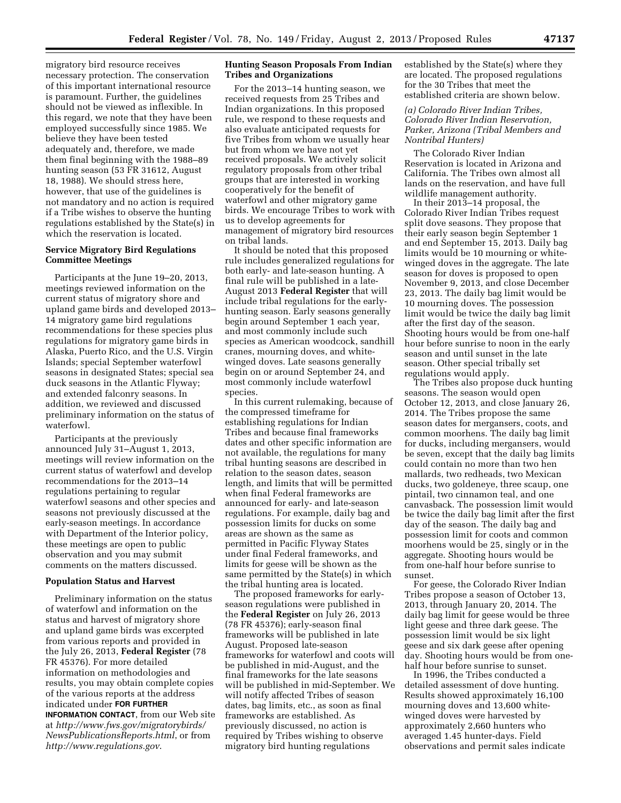migratory bird resource receives necessary protection. The conservation of this important international resource is paramount. Further, the guidelines should not be viewed as inflexible. In this regard, we note that they have been employed successfully since 1985. We believe they have been tested adequately and, therefore, we made them final beginning with the 1988–89 hunting season (53 FR 31612, August 18, 1988). We should stress here, however, that use of the guidelines is not mandatory and no action is required if a Tribe wishes to observe the hunting regulations established by the State(s) in which the reservation is located.

# **Service Migratory Bird Regulations Committee Meetings**

Participants at the June 19–20, 2013, meetings reviewed information on the current status of migratory shore and upland game birds and developed 2013– 14 migratory game bird regulations recommendations for these species plus regulations for migratory game birds in Alaska, Puerto Rico, and the U.S. Virgin Islands; special September waterfowl seasons in designated States; special sea duck seasons in the Atlantic Flyway; and extended falconry seasons. In addition, we reviewed and discussed preliminary information on the status of waterfowl.

Participants at the previously announced July 31–August 1, 2013, meetings will review information on the current status of waterfowl and develop recommendations for the 2013–14 regulations pertaining to regular waterfowl seasons and other species and seasons not previously discussed at the early-season meetings. In accordance with Department of the Interior policy, these meetings are open to public observation and you may submit comments on the matters discussed.

#### **Population Status and Harvest**

Preliminary information on the status of waterfowl and information on the status and harvest of migratory shore and upland game birds was excerpted from various reports and provided in the July 26, 2013, **Federal Register** (78 FR 45376). For more detailed information on methodologies and results, you may obtain complete copies of the various reports at the address indicated under **FOR FURTHER INFORMATION CONTACT**, from our Web site at *[http://www.fws.gov/migratorybirds/](http://www.fws.gov/migratorybirds/NewsPublicationsReports.html)  [NewsPublicationsReports.html](http://www.fws.gov/migratorybirds/NewsPublicationsReports.html)*, or from *<http://www.regulations.gov>*.

# **Hunting Season Proposals From Indian Tribes and Organizations**

For the 2013–14 hunting season, we received requests from 25 Tribes and Indian organizations. In this proposed rule, we respond to these requests and also evaluate anticipated requests for five Tribes from whom we usually hear but from whom we have not yet received proposals. We actively solicit regulatory proposals from other tribal groups that are interested in working cooperatively for the benefit of waterfowl and other migratory game birds. We encourage Tribes to work with us to develop agreements for management of migratory bird resources on tribal lands.

It should be noted that this proposed rule includes generalized regulations for both early- and late-season hunting. A final rule will be published in a late-August 2013 **Federal Register** that will include tribal regulations for the earlyhunting season. Early seasons generally begin around September 1 each year, and most commonly include such species as American woodcock, sandhill cranes, mourning doves, and whitewinged doves. Late seasons generally begin on or around September 24, and most commonly include waterfowl species.

In this current rulemaking, because of the compressed timeframe for establishing regulations for Indian Tribes and because final frameworks dates and other specific information are not available, the regulations for many tribal hunting seasons are described in relation to the season dates, season length, and limits that will be permitted when final Federal frameworks are announced for early- and late-season regulations. For example, daily bag and possession limits for ducks on some areas are shown as the same as permitted in Pacific Flyway States under final Federal frameworks, and limits for geese will be shown as the same permitted by the State(s) in which the tribal hunting area is located.

The proposed frameworks for earlyseason regulations were published in the **Federal Register** on July 26, 2013 (78 FR 45376); early-season final frameworks will be published in late August. Proposed late-season frameworks for waterfowl and coots will be published in mid-August, and the final frameworks for the late seasons will be published in mid-September. We will notify affected Tribes of season dates, bag limits, etc., as soon as final frameworks are established. As previously discussed, no action is required by Tribes wishing to observe migratory bird hunting regulations

established by the State(s) where they are located. The proposed regulations for the 30 Tribes that meet the established criteria are shown below.

#### *(a) Colorado River Indian Tribes, Colorado River Indian Reservation, Parker, Arizona (Tribal Members and Nontribal Hunters)*

The Colorado River Indian Reservation is located in Arizona and California. The Tribes own almost all lands on the reservation, and have full wildlife management authority.

In their 2013–14 proposal, the Colorado River Indian Tribes request split dove seasons. They propose that their early season begin September 1 and end September 15, 2013. Daily bag limits would be 10 mourning or whitewinged doves in the aggregate. The late season for doves is proposed to open November 9, 2013, and close December 23, 2013. The daily bag limit would be 10 mourning doves. The possession limit would be twice the daily bag limit after the first day of the season. Shooting hours would be from one-half hour before sunrise to noon in the early season and until sunset in the late season. Other special tribally set regulations would apply.

The Tribes also propose duck hunting seasons. The season would open October 12, 2013, and close January 26, 2014. The Tribes propose the same season dates for mergansers, coots, and common moorhens. The daily bag limit for ducks, including mergansers, would be seven, except that the daily bag limits could contain no more than two hen mallards, two redheads, two Mexican ducks, two goldeneye, three scaup, one pintail, two cinnamon teal, and one canvasback. The possession limit would be twice the daily bag limit after the first day of the season. The daily bag and possession limit for coots and common moorhens would be 25, singly or in the aggregate. Shooting hours would be from one-half hour before sunrise to sunset.

For geese, the Colorado River Indian Tribes propose a season of October 13, 2013, through January 20, 2014. The daily bag limit for geese would be three light geese and three dark geese. The possession limit would be six light geese and six dark geese after opening day. Shooting hours would be from onehalf hour before sunrise to sunset.

In 1996, the Tribes conducted a detailed assessment of dove hunting. Results showed approximately 16,100 mourning doves and 13,600 whitewinged doves were harvested by approximately 2,660 hunters who averaged 1.45 hunter-days. Field observations and permit sales indicate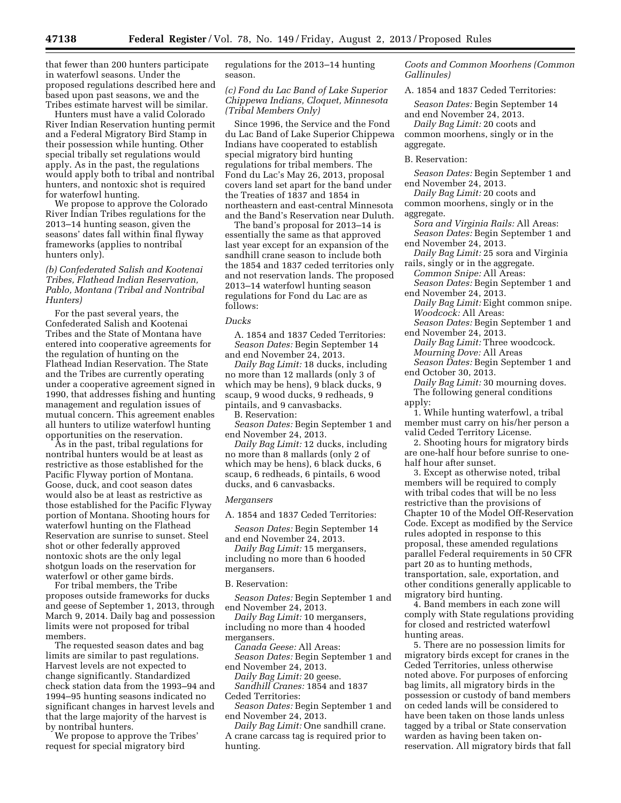that fewer than 200 hunters participate in waterfowl seasons. Under the proposed regulations described here and based upon past seasons, we and the Tribes estimate harvest will be similar.

Hunters must have a valid Colorado River Indian Reservation hunting permit and a Federal Migratory Bird Stamp in their possession while hunting. Other special tribally set regulations would apply. As in the past, the regulations would apply both to tribal and nontribal hunters, and nontoxic shot is required for waterfowl hunting.

We propose to approve the Colorado River Indian Tribes regulations for the 2013–14 hunting season, given the seasons' dates fall within final flyway frameworks (applies to nontribal hunters only).

## *(b) Confederated Salish and Kootenai Tribes, Flathead Indian Reservation, Pablo, Montana (Tribal and Nontribal Hunters)*

For the past several years, the Confederated Salish and Kootenai Tribes and the State of Montana have entered into cooperative agreements for the regulation of hunting on the Flathead Indian Reservation. The State and the Tribes are currently operating under a cooperative agreement signed in 1990, that addresses fishing and hunting management and regulation issues of mutual concern. This agreement enables all hunters to utilize waterfowl hunting opportunities on the reservation.

As in the past, tribal regulations for nontribal hunters would be at least as restrictive as those established for the Pacific Flyway portion of Montana. Goose, duck, and coot season dates would also be at least as restrictive as those established for the Pacific Flyway portion of Montana. Shooting hours for waterfowl hunting on the Flathead Reservation are sunrise to sunset. Steel shot or other federally approved nontoxic shots are the only legal shotgun loads on the reservation for waterfowl or other game birds.

For tribal members, the Tribe proposes outside frameworks for ducks and geese of September 1, 2013, through March 9, 2014. Daily bag and possession limits were not proposed for tribal members.

The requested season dates and bag limits are similar to past regulations. Harvest levels are not expected to change significantly. Standardized check station data from the 1993–94 and 1994–95 hunting seasons indicated no significant changes in harvest levels and that the large majority of the harvest is by nontribal hunters.

We propose to approve the Tribes' request for special migratory bird

regulations for the 2013–14 hunting season.

# *(c) Fond du Lac Band of Lake Superior Chippewa Indians, Cloquet, Minnesota (Tribal Members Only)*

Since 1996, the Service and the Fond du Lac Band of Lake Superior Chippewa Indians have cooperated to establish special migratory bird hunting regulations for tribal members. The Fond du Lac's May 26, 2013, proposal covers land set apart for the band under the Treaties of 1837 and 1854 in northeastern and east-central Minnesota and the Band's Reservation near Duluth.

The band's proposal for 2013–14 is essentially the same as that approved last year except for an expansion of the sandhill crane season to include both the 1854 and 1837 ceded territories only and not reservation lands. The proposed 2013–14 waterfowl hunting season regulations for Fond du Lac are as follows:

#### *Ducks*

A. 1854 and 1837 Ceded Territories: *Season Dates:* Begin September 14 and end November 24, 2013.

*Daily Bag Limit:* 18 ducks, including no more than 12 mallards (only 3 of which may be hens), 9 black ducks, 9 scaup, 9 wood ducks, 9 redheads, 9 pintails, and 9 canvasbacks.

B. Reservation:

*Season Dates:* Begin September 1 and end November 24, 2013.

*Daily Bag Limit:* 12 ducks, including no more than 8 mallards (only 2 of which may be hens), 6 black ducks, 6 scaup, 6 redheads, 6 pintails, 6 wood ducks, and 6 canvasbacks.

#### *Mergansers*

A. 1854 and 1837 Ceded Territories:

*Season Dates:* Begin September 14 and end November 24, 2013.

*Daily Bag Limit:* 15 mergansers, including no more than 6 hooded mergansers.

# B. Reservation:

*Season Dates:* Begin September 1 and end November 24, 2013.

*Daily Bag Limit:* 10 mergansers, including no more than 4 hooded mergansers.

*Canada Geese:* All Areas:

*Season Dates:* Begin September 1 and end November 24, 2013.

*Daily Bag Limit:* 20 geese.

*Sandhill Cranes:* 1854 and 1837 Ceded Territories:

*Season Dates:* Begin September 1 and end November 24, 2013.

*Daily Bag Limit:* One sandhill crane. A crane carcass tag is required prior to hunting.

*Coots and Common Moorhens (Common Gallinules)* 

A. 1854 and 1837 Ceded Territories:

*Season Dates:* Begin September 14 and end November 24, 2013.

*Daily Bag Limit:* 20 coots and common moorhens, singly or in the aggregate.

#### B. Reservation:

*Season Dates:* Begin September 1 and end November 24, 2013.

*Daily Bag Limit:* 20 coots and common moorhens, singly or in the aggregate.

*Sora and Virginia Rails:* All Areas: *Season Dates:* Begin September 1 and

end November 24, 2013. *Daily Bag Limit:* 25 sora and Virginia

rails, singly or in the aggregate. *Common Snipe:* All Areas:

*Season Dates:* Begin September 1 and end November 24, 2013.

*Daily Bag Limit:* Eight common snipe. *Woodcock:* All Areas:

*Season Dates:* Begin September 1 and end November 24, 2013.

*Daily Bag Limit:* Three woodcock. *Mourning Dove:* All Areas *Season Dates:* Begin September 1 and

end October 30, 2013.

*Daily Bag Limit:* 30 mourning doves. The following general conditions apply:

1. While hunting waterfowl, a tribal member must carry on his/her person a valid Ceded Territory License.

2. Shooting hours for migratory birds are one-half hour before sunrise to onehalf hour after sunset.

3. Except as otherwise noted, tribal members will be required to comply with tribal codes that will be no less restrictive than the provisions of Chapter 10 of the Model Off-Reservation Code. Except as modified by the Service rules adopted in response to this proposal, these amended regulations parallel Federal requirements in 50 CFR part 20 as to hunting methods, transportation, sale, exportation, and other conditions generally applicable to migratory bird hunting.

4. Band members in each zone will comply with State regulations providing for closed and restricted waterfowl hunting areas.

5. There are no possession limits for migratory birds except for cranes in the Ceded Territories, unless otherwise noted above. For purposes of enforcing bag limits, all migratory birds in the possession or custody of band members on ceded lands will be considered to have been taken on those lands unless tagged by a tribal or State conservation warden as having been taken onreservation. All migratory birds that fall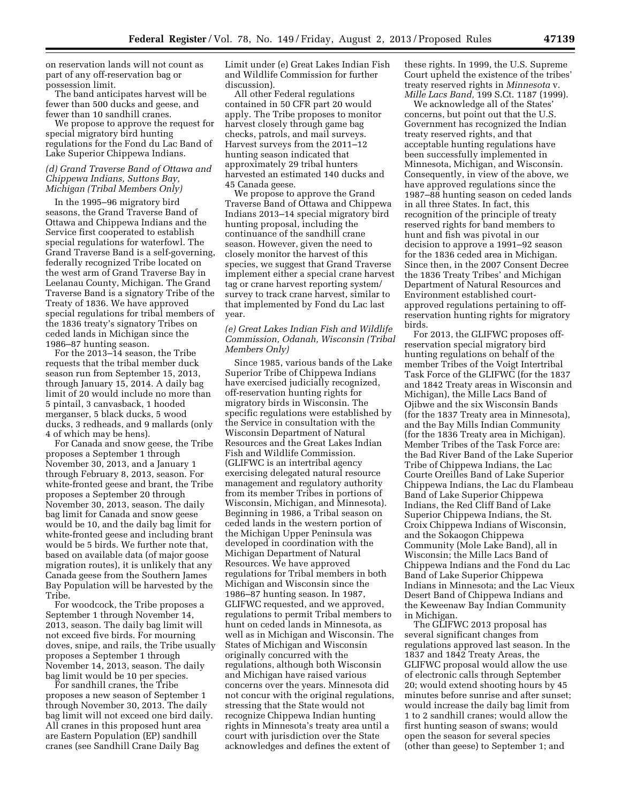on reservation lands will not count as part of any off-reservation bag or possession limit.

The band anticipates harvest will be fewer than 500 ducks and geese, and fewer than 10 sandhill cranes.

We propose to approve the request for special migratory bird hunting regulations for the Fond du Lac Band of Lake Superior Chippewa Indians.

#### *(d) Grand Traverse Band of Ottawa and Chippewa Indians, Suttons Bay, Michigan (Tribal Members Only)*

In the 1995–96 migratory bird seasons, the Grand Traverse Band of Ottawa and Chippewa Indians and the Service first cooperated to establish special regulations for waterfowl. The Grand Traverse Band is a self-governing, federally recognized Tribe located on the west arm of Grand Traverse Bay in Leelanau County, Michigan. The Grand Traverse Band is a signatory Tribe of the Treaty of 1836. We have approved special regulations for tribal members of the 1836 treaty's signatory Tribes on ceded lands in Michigan since the 1986–87 hunting season.

For the 2013–14 season, the Tribe requests that the tribal member duck season run from September 15, 2013, through January 15, 2014. A daily bag limit of 20 would include no more than 5 pintail, 3 canvasback, 1 hooded merganser, 5 black ducks, 5 wood ducks, 3 redheads, and 9 mallards (only 4 of which may be hens).

For Canada and snow geese, the Tribe proposes a September 1 through November 30, 2013, and a January 1 through February 8, 2013, season. For white-fronted geese and brant, the Tribe proposes a September 20 through November 30, 2013, season. The daily bag limit for Canada and snow geese would be 10, and the daily bag limit for white-fronted geese and including brant would be 5 birds. We further note that, based on available data (of major goose migration routes), it is unlikely that any Canada geese from the Southern James Bay Population will be harvested by the Tribe.

For woodcock, the Tribe proposes a September 1 through November 14, 2013, season. The daily bag limit will not exceed five birds. For mourning doves, snipe, and rails, the Tribe usually proposes a September 1 through November 14, 2013, season. The daily bag limit would be 10 per species.

For sandhill cranes, the Tribe proposes a new season of September 1 through November 30, 2013. The daily bag limit will not exceed one bird daily. All cranes in this proposed hunt area are Eastern Population (EP) sandhill cranes (see Sandhill Crane Daily Bag

Limit under (e) Great Lakes Indian Fish and Wildlife Commission for further discussion).

All other Federal regulations contained in 50 CFR part 20 would apply. The Tribe proposes to monitor harvest closely through game bag checks, patrols, and mail surveys. Harvest surveys from the 2011–12 hunting season indicated that approximately 29 tribal hunters harvested an estimated 140 ducks and 45 Canada geese.

We propose to approve the Grand Traverse Band of Ottawa and Chippewa Indians 2013–14 special migratory bird hunting proposal, including the continuance of the sandhill crane season. However, given the need to closely monitor the harvest of this species, we suggest that Grand Traverse implement either a special crane harvest tag or crane harvest reporting system/ survey to track crane harvest, similar to that implemented by Fond du Lac last year.

# *(e) Great Lakes Indian Fish and Wildlife Commission, Odanah, Wisconsin (Tribal Members Only)*

Since 1985, various bands of the Lake Superior Tribe of Chippewa Indians have exercised judicially recognized, off-reservation hunting rights for migratory birds in Wisconsin. The specific regulations were established by the Service in consultation with the Wisconsin Department of Natural Resources and the Great Lakes Indian Fish and Wildlife Commission. (GLIFWC is an intertribal agency exercising delegated natural resource management and regulatory authority from its member Tribes in portions of Wisconsin, Michigan, and Minnesota). Beginning in 1986, a Tribal season on ceded lands in the western portion of the Michigan Upper Peninsula was developed in coordination with the Michigan Department of Natural Resources. We have approved regulations for Tribal members in both Michigan and Wisconsin since the 1986–87 hunting season. In 1987, GLIFWC requested, and we approved, regulations to permit Tribal members to hunt on ceded lands in Minnesota, as well as in Michigan and Wisconsin. The States of Michigan and Wisconsin originally concurred with the regulations, although both Wisconsin and Michigan have raised various concerns over the years. Minnesota did not concur with the original regulations, stressing that the State would not recognize Chippewa Indian hunting rights in Minnesota's treaty area until a court with jurisdiction over the State acknowledges and defines the extent of

these rights. In 1999, the U.S. Supreme Court upheld the existence of the tribes' treaty reserved rights in *Minnesota* v. *Mille Lacs Band,* 199 S.Ct. 1187 (1999).

We acknowledge all of the States' concerns, but point out that the U.S. Government has recognized the Indian treaty reserved rights, and that acceptable hunting regulations have been successfully implemented in Minnesota, Michigan, and Wisconsin. Consequently, in view of the above, we have approved regulations since the 1987–88 hunting season on ceded lands in all three States. In fact, this recognition of the principle of treaty reserved rights for band members to hunt and fish was pivotal in our decision to approve a 1991–92 season for the 1836 ceded area in Michigan. Since then, in the 2007 Consent Decree the 1836 Treaty Tribes' and Michigan Department of Natural Resources and Environment established courtapproved regulations pertaining to offreservation hunting rights for migratory birds.

For 2013, the GLIFWC proposes offreservation special migratory bird hunting regulations on behalf of the member Tribes of the Voigt Intertribal Task Force of the GLIFWC (for the 1837 and 1842 Treaty areas in Wisconsin and Michigan), the Mille Lacs Band of Ojibwe and the six Wisconsin Bands (for the 1837 Treaty area in Minnesota), and the Bay Mills Indian Community (for the 1836 Treaty area in Michigan). Member Tribes of the Task Force are: the Bad River Band of the Lake Superior Tribe of Chippewa Indians, the Lac Courte Oreilles Band of Lake Superior Chippewa Indians, the Lac du Flambeau Band of Lake Superior Chippewa Indians, the Red Cliff Band of Lake Superior Chippewa Indians, the St. Croix Chippewa Indians of Wisconsin, and the Sokaogon Chippewa Community (Mole Lake Band), all in Wisconsin; the Mille Lacs Band of Chippewa Indians and the Fond du Lac Band of Lake Superior Chippewa Indians in Minnesota; and the Lac Vieux Desert Band of Chippewa Indians and the Keweenaw Bay Indian Community in Michigan.

The GLIFWC 2013 proposal has several significant changes from regulations approved last season. In the 1837 and 1842 Treaty Areas, the GLIFWC proposal would allow the use of electronic calls through September 20; would extend shooting hours by 45 minutes before sunrise and after sunset; would increase the daily bag limit from 1 to 2 sandhill cranes; would allow the first hunting season of swans; would open the season for several species (other than geese) to September 1; and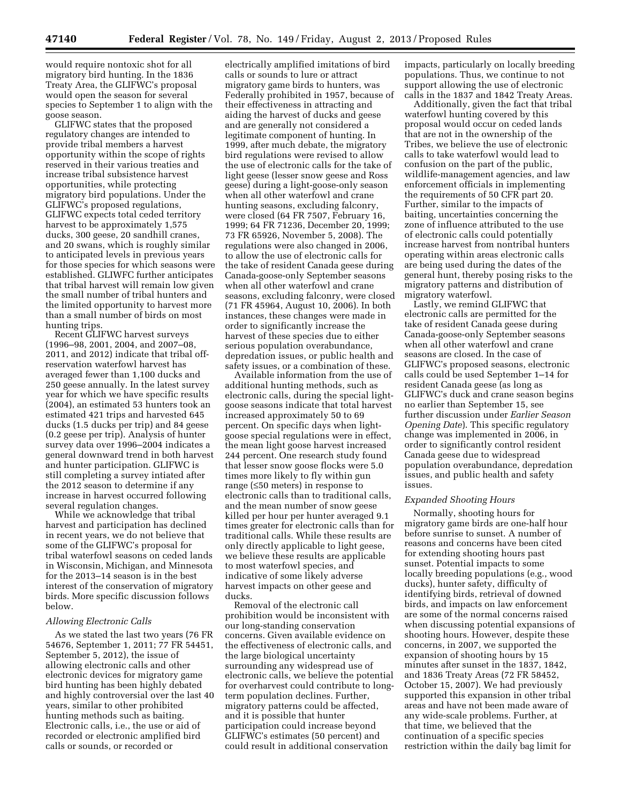would require nontoxic shot for all migratory bird hunting. In the 1836 Treaty Area, the GLIFWC's proposal would open the season for several species to September 1 to align with the goose season.

GLIFWC states that the proposed regulatory changes are intended to provide tribal members a harvest opportunity within the scope of rights reserved in their various treaties and increase tribal subsistence harvest opportunities, while protecting migratory bird populations. Under the GLIFWC's proposed regulations, GLIFWC expects total ceded territory harvest to be approximately 1,575 ducks, 300 geese, 20 sandhill cranes, and 20 swans, which is roughly similar to anticipated levels in previous years for those species for which seasons were established. GLIWFC further anticipates that tribal harvest will remain low given the small number of tribal hunters and the limited opportunity to harvest more than a small number of birds on most hunting trips.

Recent GLIFWC harvest surveys (1996–98, 2001, 2004, and 2007–08, 2011, and 2012) indicate that tribal offreservation waterfowl harvest has averaged fewer than 1,100 ducks and 250 geese annually. In the latest survey year for which we have specific results (2004), an estimated 53 hunters took an estimated 421 trips and harvested 645 ducks (1.5 ducks per trip) and 84 geese (0.2 geese per trip). Analysis of hunter survey data over 1996–2004 indicates a general downward trend in both harvest and hunter participation. GLIFWC is still completing a survey intiated after the 2012 season to determine if any increase in harvest occurred following several regulation changes.

While we acknowledge that tribal harvest and participation has declined in recent years, we do not believe that some of the GLIFWC's proposal for tribal waterfowl seasons on ceded lands in Wisconsin, Michigan, and Minnesota for the 2013–14 season is in the best interest of the conservation of migratory birds. More specific discussion follows below.

#### *Allowing Electronic Calls*

As we stated the last two years (76 FR 54676, September 1, 2011; 77 FR 54451, September 5, 2012), the issue of allowing electronic calls and other electronic devices for migratory game bird hunting has been highly debated and highly controversial over the last 40 years, similar to other prohibited hunting methods such as baiting. Electronic calls, i.e., the use or aid of recorded or electronic amplified bird calls or sounds, or recorded or

electrically amplified imitations of bird calls or sounds to lure or attract migratory game birds to hunters, was Federally prohibited in 1957, because of their effectiveness in attracting and aiding the harvest of ducks and geese and are generally not considered a legitimate component of hunting. In 1999, after much debate, the migratory bird regulations were revised to allow the use of electronic calls for the take of light geese (lesser snow geese and Ross geese) during a light-goose-only season when all other waterfowl and crane hunting seasons, excluding falconry, were closed (64 FR 7507, February 16, 1999; 64 FR 71236, December 20, 1999; 73 FR 65926, November 5, 2008). The regulations were also changed in 2006, to allow the use of electronic calls for the take of resident Canada geese during Canada-goose-only September seasons when all other waterfowl and crane seasons, excluding falconry, were closed (71 FR 45964, August 10, 2006). In both instances, these changes were made in order to significantly increase the harvest of these species due to either serious population overabundance, depredation issues, or public health and safety issues, or a combination of these.

Available information from the use of additional hunting methods, such as electronic calls, during the special lightgoose seasons indicate that total harvest increased approximately 50 to 69 percent. On specific days when lightgoose special regulations were in effect, the mean light goose harvest increased 244 percent. One research study found that lesser snow goose flocks were 5.0 times more likely to fly within gun range (≤50 meters) in response to electronic calls than to traditional calls, and the mean number of snow geese killed per hour per hunter averaged 9.1 times greater for electronic calls than for traditional calls. While these results are only directly applicable to light geese, we believe these results are applicable to most waterfowl species, and indicative of some likely adverse harvest impacts on other geese and ducks.

Removal of the electronic call prohibition would be inconsistent with our long-standing conservation concerns. Given available evidence on the effectiveness of electronic calls, and the large biological uncertainty surrounding any widespread use of electronic calls, we believe the potential for overharvest could contribute to longterm population declines. Further, migratory patterns could be affected, and it is possible that hunter participation could increase beyond GLIFWC's estimates (50 percent) and could result in additional conservation

impacts, particularly on locally breeding populations. Thus, we continue to not support allowing the use of electronic calls in the 1837 and 1842 Treaty Areas.

Additionally, given the fact that tribal waterfowl hunting covered by this proposal would occur on ceded lands that are not in the ownership of the Tribes, we believe the use of electronic calls to take waterfowl would lead to confusion on the part of the public, wildlife-management agencies, and law enforcement officials in implementing the requirements of 50 CFR part 20. Further, similar to the impacts of baiting, uncertainties concerning the zone of influence attributed to the use of electronic calls could potentially increase harvest from nontribal hunters operating within areas electronic calls are being used during the dates of the general hunt, thereby posing risks to the migratory patterns and distribution of migratory waterfowl.

Lastly, we remind GLIFWC that electronic calls are permitted for the take of resident Canada geese during Canada-goose-only September seasons when all other waterfowl and crane seasons are closed. In the case of GLIFWC's proposed seasons, electronic calls could be used September 1–14 for resident Canada geese (as long as GLIFWC's duck and crane season begins no earlier than September 15, see further discussion under *Earlier Season Opening Date*). This specific regulatory change was implemented in 2006, in order to significantly control resident Canada geese due to widespread population overabundance, depredation issues, and public health and safety issues.

#### *Expanded Shooting Hours*

Normally, shooting hours for migratory game birds are one-half hour before sunrise to sunset. A number of reasons and concerns have been cited for extending shooting hours past sunset. Potential impacts to some locally breeding populations (e.g., wood ducks), hunter safety, difficulty of identifying birds, retrieval of downed birds, and impacts on law enforcement are some of the normal concerns raised when discussing potential expansions of shooting hours. However, despite these concerns, in 2007, we supported the expansion of shooting hours by 15 minutes after sunset in the 1837, 1842, and 1836 Treaty Areas (72 FR 58452, October 15, 2007). We had previously supported this expansion in other tribal areas and have not been made aware of any wide-scale problems. Further, at that time, we believed that the continuation of a specific species restriction within the daily bag limit for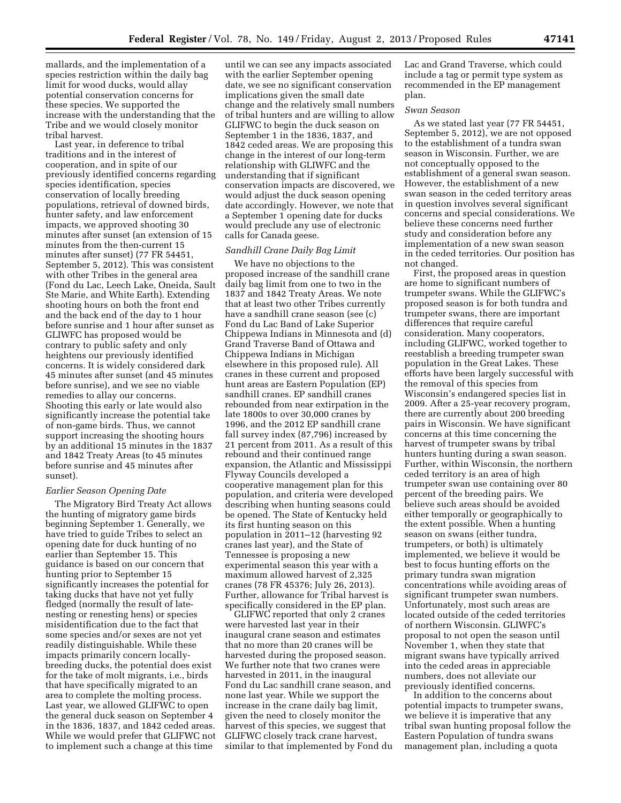mallards, and the implementation of a species restriction within the daily bag limit for wood ducks, would allay potential conservation concerns for these species. We supported the increase with the understanding that the Tribe and we would closely monitor tribal harvest.

Last year, in deference to tribal traditions and in the interest of cooperation, and in spite of our previously identified concerns regarding species identification, species conservation of locally breeding populations, retrieval of downed birds, hunter safety, and law enforcement impacts, we approved shooting 30 minutes after sunset (an extension of 15 minutes from the then-current 15 minutes after sunset) (77 FR 54451, September 5, 2012). This was consistent with other Tribes in the general area (Fond du Lac, Leech Lake, Oneida, Sault Ste Marie, and White Earth). Extending shooting hours on both the front end and the back end of the day to 1 hour before sunrise and 1 hour after sunset as GLIWFC has proposed would be contrary to public safety and only heightens our previously identified concerns. It is widely considered dark 45 minutes after sunset (and 45 minutes before sunrise), and we see no viable remedies to allay our concerns. Shooting this early or late would also significantly increase the potential take of non-game birds. Thus, we cannot support increasing the shooting hours by an additional 15 minutes in the 1837 and 1842 Treaty Areas (to 45 minutes before sunrise and 45 minutes after sunset).

## *Earlier Season Opening Date*

The Migratory Bird Treaty Act allows the hunting of migratory game birds beginning September 1. Generally, we have tried to guide Tribes to select an opening date for duck hunting of no earlier than September 15. This guidance is based on our concern that hunting prior to September 15 significantly increases the potential for taking ducks that have not yet fully fledged (normally the result of latenesting or renesting hens) or species misidentification due to the fact that some species and/or sexes are not yet readily distinguishable. While these impacts primarily concern locallybreeding ducks, the potential does exist for the take of molt migrants, i.e., birds that have specifically migrated to an area to complete the molting process. Last year, we allowed GLIFWC to open the general duck season on September 4 in the 1836, 1837, and 1842 ceded areas. While we would prefer that GLIFWC not to implement such a change at this time

until we can see any impacts associated with the earlier September opening date, we see no significant conservation implications given the small date change and the relatively small numbers of tribal hunters and are willing to allow GLIFWC to begin the duck season on September 1 in the 1836, 1837, and 1842 ceded areas. We are proposing this change in the interest of our long-term relationship with GLIWFC and the understanding that if significant conservation impacts are discovered, we would adjust the duck season opening date accordingly. However, we note that a September 1 opening date for ducks would preclude any use of electronic calls for Canada geese.

#### *Sandhill Crane Daily Bag Limit*

We have no objections to the proposed increase of the sandhill crane daily bag limit from one to two in the 1837 and 1842 Treaty Areas. We note that at least two other Tribes currently have a sandhill crane season (see (c) Fond du Lac Band of Lake Superior Chippewa Indians in Minnesota and (d) Grand Traverse Band of Ottawa and Chippewa Indians in Michigan elsewhere in this proposed rule). All cranes in these current and proposed hunt areas are Eastern Population (EP) sandhill cranes. EP sandhill cranes rebounded from near extirpation in the late 1800s to over 30,000 cranes by 1996, and the 2012 EP sandhill crane fall survey index (87,796) increased by 21 percent from 2011. As a result of this rebound and their continued range expansion, the Atlantic and Mississippi Flyway Councils developed a cooperative management plan for this population, and criteria were developed describing when hunting seasons could be opened. The State of Kentucky held its first hunting season on this population in 2011–12 (harvesting 92 cranes last year), and the State of Tennessee is proposing a new experimental season this year with a maximum allowed harvest of 2,325 cranes (78 FR 45376; July 26, 2013). Further, allowance for Tribal harvest is specifically considered in the EP plan.

GLIFWC reported that only 2 cranes were harvested last year in their inaugural crane season and estimates that no more than 20 cranes will be harvested during the proposed season. We further note that two cranes were harvested in 2011, in the inaugural Fond du Lac sandhill crane season, and none last year. While we support the increase in the crane daily bag limit, given the need to closely monitor the harvest of this species, we suggest that GLIFWC closely track crane harvest, similar to that implemented by Fond du Lac and Grand Traverse, which could include a tag or permit type system as recommended in the EP management plan.

#### *Swan Season*

As we stated last year (77 FR 54451, September 5, 2012), we are not opposed to the establishment of a tundra swan season in Wisconsin. Further, we are not conceptually opposed to the establishment of a general swan season. However, the establishment of a new swan season in the ceded territory areas in question involves several significant concerns and special considerations. We believe these concerns need further study and consideration before any implementation of a new swan season in the ceded territories. Our position has not changed.

First, the proposed areas in question are home to significant numbers of trumpeter swans. While the GLIFWC's proposed season is for both tundra and trumpeter swans, there are important differences that require careful consideration. Many cooperators, including GLIFWC, worked together to reestablish a breeding trumpeter swan population in the Great Lakes. These efforts have been largely successful with the removal of this species from Wisconsin's endangered species list in 2009. After a 25-year recovery program, there are currently about 200 breeding pairs in Wisconsin. We have significant concerns at this time concerning the harvest of trumpeter swans by tribal hunters hunting during a swan season. Further, within Wisconsin, the northern ceded territory is an area of high trumpeter swan use containing over 80 percent of the breeding pairs. We believe such areas should be avoided either temporally or geographically to the extent possible. When a hunting season on swans (either tundra, trumpeters, or both) is ultimately implemented, we believe it would be best to focus hunting efforts on the primary tundra swan migration concentrations while avoiding areas of significant trumpeter swan numbers. Unfortunately, most such areas are located outside of the ceded territories of northern Wisconsin. GLIWFC's proposal to not open the season until November 1, when they state that migrant swans have typically arrived into the ceded areas in appreciable numbers, does not alleviate our previously identified concerns.

In addition to the concerns about potential impacts to trumpeter swans, we believe it is imperative that any tribal swan hunting proposal follow the Eastern Population of tundra swans management plan, including a quota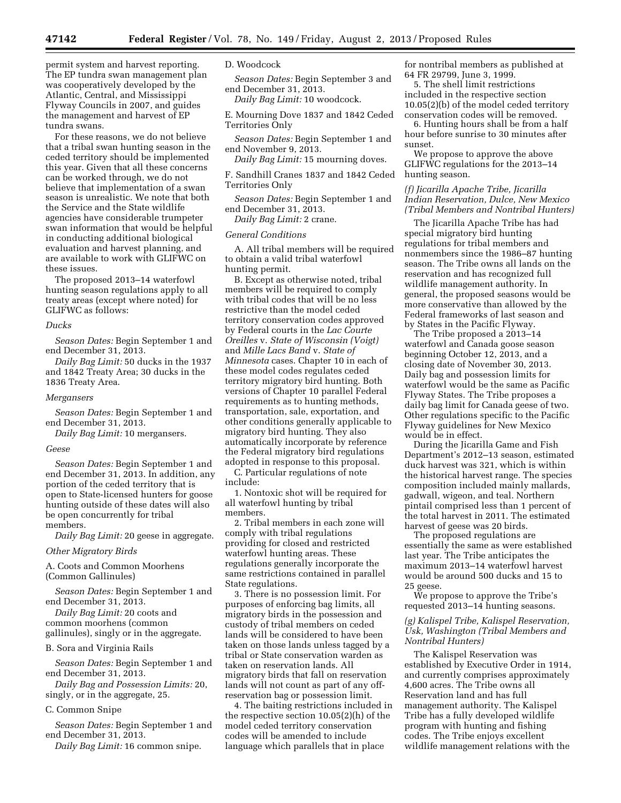permit system and harvest reporting. The EP tundra swan management plan was cooperatively developed by the Atlantic, Central, and Mississippi Flyway Councils in 2007, and guides the management and harvest of EP tundra swans.

For these reasons, we do not believe that a tribal swan hunting season in the ceded territory should be implemented this year. Given that all these concerns can be worked through, we do not believe that implementation of a swan season is unrealistic. We note that both the Service and the State wildlife agencies have considerable trumpeter swan information that would be helpful in conducting additional biological evaluation and harvest planning, and are available to work with GLIFWC on these issues.

The proposed 2013–14 waterfowl hunting season regulations apply to all treaty areas (except where noted) for GLIFWC as follows:

#### *Ducks*

*Season Dates:* Begin September 1 and end December 31, 2013.

*Daily Bag Limit:* 50 ducks in the 1937 and 1842 Treaty Area; 30 ducks in the 1836 Treaty Area.

#### *Mergansers*

*Season Dates:* Begin September 1 and end December 31, 2013.

*Daily Bag Limit:* 10 mergansers.

#### *Geese*

*Season Dates:* Begin September 1 and end December 31, 2013. In addition, any portion of the ceded territory that is open to State-licensed hunters for goose hunting outside of these dates will also be open concurrently for tribal members.

*Daily Bag Limit:* 20 geese in aggregate.

#### *Other Migratory Birds*

A. Coots and Common Moorhens (Common Gallinules)

*Season Dates:* Begin September 1 and end December 31, 2013.

*Daily Bag Limit:* 20 coots and common moorhens (common gallinules), singly or in the aggregate.

#### B. Sora and Virginia Rails

*Season Dates:* Begin September 1 and end December 31, 2013.

*Daily Bag and Possession Limits:* 20, singly, or in the aggregate, 25.

#### C. Common Snipe

*Season Dates:* Begin September 1 and end December 31, 2013.

*Daily Bag Limit:* 16 common snipe.

#### D. Woodcock

*Season Dates:* Begin September 3 and end December 31, 2013.

*Daily Bag Limit:* 10 woodcock.

E. Mourning Dove 1837 and 1842 Ceded Territories Only

*Season Dates:* Begin September 1 and end November 9, 2013.

*Daily Bag Limit:* 15 mourning doves.

F. Sandhill Cranes 1837 and 1842 Ceded Territories Only

*Season Dates:* Begin September 1 and end December 31, 2013.

*Daily Bag Limit:* 2 crane.

#### *General Conditions*

A. All tribal members will be required to obtain a valid tribal waterfowl hunting permit.

B. Except as otherwise noted, tribal members will be required to comply with tribal codes that will be no less restrictive than the model ceded territory conservation codes approved by Federal courts in the *Lac Courte Oreilles* v. *State of Wisconsin (Voigt)*  and *Mille Lacs Band* v. *State of Minnesota* cases. Chapter 10 in each of these model codes regulates ceded territory migratory bird hunting. Both versions of Chapter 10 parallel Federal requirements as to hunting methods, transportation, sale, exportation, and other conditions generally applicable to migratory bird hunting. They also automatically incorporate by reference the Federal migratory bird regulations adopted in response to this proposal.

C. Particular regulations of note include:

1. Nontoxic shot will be required for all waterfowl hunting by tribal members.

2. Tribal members in each zone will comply with tribal regulations providing for closed and restricted waterfowl hunting areas. These regulations generally incorporate the same restrictions contained in parallel State regulations.

3. There is no possession limit. For purposes of enforcing bag limits, all migratory birds in the possession and custody of tribal members on ceded lands will be considered to have been taken on those lands unless tagged by a tribal or State conservation warden as taken on reservation lands. All migratory birds that fall on reservation lands will not count as part of any offreservation bag or possession limit.

4. The baiting restrictions included in the respective section 10.05(2)(h) of the model ceded territory conservation codes will be amended to include language which parallels that in place

for nontribal members as published at 64 FR 29799, June 3, 1999.

5. The shell limit restrictions included in the respective section 10.05(2)(b) of the model ceded territory conservation codes will be removed.

6. Hunting hours shall be from a half hour before sunrise to 30 minutes after sunset.

We propose to approve the above GLIFWC regulations for the 2013–14 hunting season.

# *(f) Jicarilla Apache Tribe, Jicarilla Indian Reservation, Dulce, New Mexico (Tribal Members and Nontribal Hunters)*

The Jicarilla Apache Tribe has had special migratory bird hunting regulations for tribal members and nonmembers since the 1986–87 hunting season. The Tribe owns all lands on the reservation and has recognized full wildlife management authority. In general, the proposed seasons would be more conservative than allowed by the Federal frameworks of last season and by States in the Pacific Flyway.

The Tribe proposed a 2013–14 waterfowl and Canada goose season beginning October 12, 2013, and a closing date of November 30, 2013. Daily bag and possession limits for waterfowl would be the same as Pacific Flyway States. The Tribe proposes a daily bag limit for Canada geese of two. Other regulations specific to the Pacific Flyway guidelines for New Mexico would be in effect.

During the Jicarilla Game and Fish Department's 2012–13 season, estimated duck harvest was 321, which is within the historical harvest range. The species composition included mainly mallards, gadwall, wigeon, and teal. Northern pintail comprised less than 1 percent of the total harvest in 2011. The estimated harvest of geese was 20 birds.

The proposed regulations are essentially the same as were established last year. The Tribe anticipates the maximum 2013–14 waterfowl harvest would be around 500 ducks and 15 to 25 geese.

We propose to approve the Tribe's requested 2013–14 hunting seasons.

#### *(g) Kalispel Tribe, Kalispel Reservation, Usk, Washington (Tribal Members and Nontribal Hunters)*

The Kalispel Reservation was established by Executive Order in 1914, and currently comprises approximately 4,600 acres. The Tribe owns all Reservation land and has full management authority. The Kalispel Tribe has a fully developed wildlife program with hunting and fishing codes. The Tribe enjoys excellent wildlife management relations with the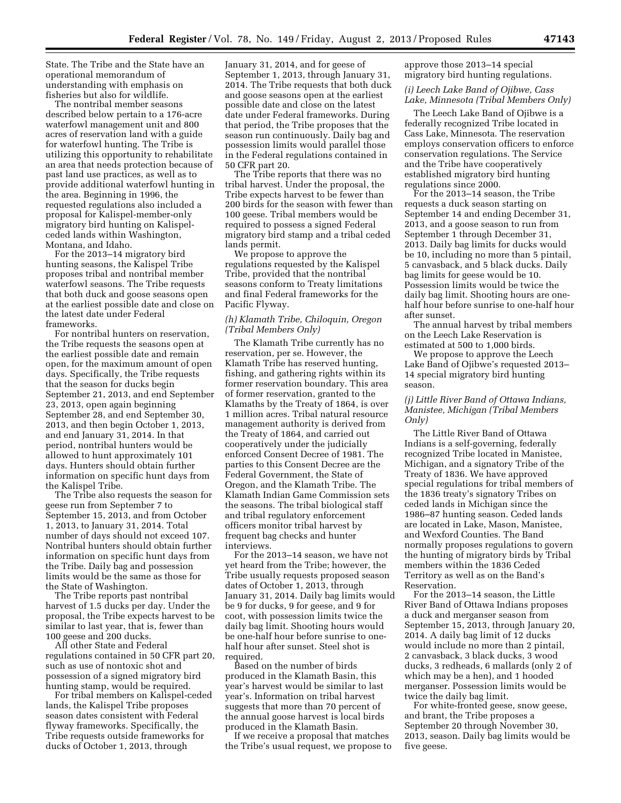State. The Tribe and the State have an operational memorandum of understanding with emphasis on fisheries but also for wildlife.

The nontribal member seasons described below pertain to a 176-acre waterfowl management unit and 800 acres of reservation land with a guide for waterfowl hunting. The Tribe is utilizing this opportunity to rehabilitate an area that needs protection because of past land use practices, as well as to provide additional waterfowl hunting in the area. Beginning in 1996, the requested regulations also included a proposal for Kalispel-member-only migratory bird hunting on Kalispelceded lands within Washington, Montana, and Idaho.

For the 2013–14 migratory bird hunting seasons, the Kalispel Tribe proposes tribal and nontribal member waterfowl seasons. The Tribe requests that both duck and goose seasons open at the earliest possible date and close on the latest date under Federal frameworks.

For nontribal hunters on reservation, the Tribe requests the seasons open at the earliest possible date and remain open, for the maximum amount of open days. Specifically, the Tribe requests that the season for ducks begin September 21, 2013, and end September 23, 2013, open again beginning September 28, and end September 30, 2013, and then begin October 1, 2013, and end January 31, 2014. In that period, nontribal hunters would be allowed to hunt approximately 101 days. Hunters should obtain further information on specific hunt days from the Kalispel Tribe.

The Tribe also requests the season for geese run from September 7 to September 15, 2013, and from October 1, 2013, to January 31, 2014. Total number of days should not exceed 107. Nontribal hunters should obtain further information on specific hunt days from the Tribe. Daily bag and possession limits would be the same as those for the State of Washington.

The Tribe reports past nontribal harvest of 1.5 ducks per day. Under the proposal, the Tribe expects harvest to be similar to last year, that is, fewer than 100 geese and 200 ducks.

All other State and Federal regulations contained in 50 CFR part 20, such as use of nontoxic shot and possession of a signed migratory bird hunting stamp, would be required.

For tribal members on Kalispel-ceded lands, the Kalispel Tribe proposes season dates consistent with Federal flyway frameworks. Specifically, the Tribe requests outside frameworks for ducks of October 1, 2013, through

January 31, 2014, and for geese of September 1, 2013, through January 31, 2014. The Tribe requests that both duck and goose seasons open at the earliest possible date and close on the latest date under Federal frameworks. During that period, the Tribe proposes that the season run continuously. Daily bag and possession limits would parallel those in the Federal regulations contained in 50 CFR part 20.

The Tribe reports that there was no tribal harvest. Under the proposal, the Tribe expects harvest to be fewer than 200 birds for the season with fewer than 100 geese. Tribal members would be required to possess a signed Federal migratory bird stamp and a tribal ceded lands permit.

We propose to approve the regulations requested by the Kalispel Tribe, provided that the nontribal seasons conform to Treaty limitations and final Federal frameworks for the Pacific Flyway.

# *(h) Klamath Tribe, Chiloquin, Oregon (Tribal Members Only)*

The Klamath Tribe currently has no reservation, per se. However, the Klamath Tribe has reserved hunting, fishing, and gathering rights within its former reservation boundary. This area of former reservation, granted to the Klamaths by the Treaty of 1864, is over 1 million acres. Tribal natural resource management authority is derived from the Treaty of 1864, and carried out cooperatively under the judicially enforced Consent Decree of 1981. The parties to this Consent Decree are the Federal Government, the State of Oregon, and the Klamath Tribe. The Klamath Indian Game Commission sets the seasons. The tribal biological staff and tribal regulatory enforcement officers monitor tribal harvest by frequent bag checks and hunter interviews.

For the 2013–14 season, we have not yet heard from the Tribe; however, the Tribe usually requests proposed season dates of October 1, 2013, through January 31, 2014. Daily bag limits would be 9 for ducks, 9 for geese, and 9 for coot, with possession limits twice the daily bag limit. Shooting hours would be one-half hour before sunrise to onehalf hour after sunset. Steel shot is required

Based on the number of birds produced in the Klamath Basin, this year's harvest would be similar to last year's. Information on tribal harvest suggests that more than 70 percent of the annual goose harvest is local birds produced in the Klamath Basin.

If we receive a proposal that matches the Tribe's usual request, we propose to approve those 2013–14 special migratory bird hunting regulations.

# *(i) Leech Lake Band of Ojibwe, Cass Lake, Minnesota (Tribal Members Only)*

The Leech Lake Band of Ojibwe is a federally recognized Tribe located in Cass Lake, Minnesota. The reservation employs conservation officers to enforce conservation regulations. The Service and the Tribe have cooperatively established migratory bird hunting regulations since 2000.

For the 2013–14 season, the Tribe requests a duck season starting on September 14 and ending December 31, 2013, and a goose season to run from September 1 through December 31, 2013. Daily bag limits for ducks would be 10, including no more than 5 pintail, 5 canvasback, and 5 black ducks. Daily bag limits for geese would be 10. Possession limits would be twice the daily bag limit. Shooting hours are onehalf hour before sunrise to one-half hour after sunset.

The annual harvest by tribal members on the Leech Lake Reservation is estimated at 500 to 1,000 birds.

We propose to approve the Leech Lake Band of Ojibwe's requested 2013– 14 special migratory bird hunting season.

## *(j) Little River Band of Ottawa Indians, Manistee, Michigan (Tribal Members Only)*

The Little River Band of Ottawa Indians is a self-governing, federally recognized Tribe located in Manistee, Michigan, and a signatory Tribe of the Treaty of 1836. We have approved special regulations for tribal members of the 1836 treaty's signatory Tribes on ceded lands in Michigan since the 1986–87 hunting season. Ceded lands are located in Lake, Mason, Manistee, and Wexford Counties. The Band normally proposes regulations to govern the hunting of migratory birds by Tribal members within the 1836 Ceded Territory as well as on the Band's Reservation.

For the 2013–14 season, the Little River Band of Ottawa Indians proposes a duck and merganser season from September 15, 2013, through January 20, 2014. A daily bag limit of 12 ducks would include no more than 2 pintail, 2 canvasback, 3 black ducks, 3 wood ducks, 3 redheads, 6 mallards (only 2 of which may be a hen), and 1 hooded merganser. Possession limits would be twice the daily bag limit.

For white-fronted geese, snow geese, and brant, the Tribe proposes a September 20 through November 30, 2013, season. Daily bag limits would be five geese.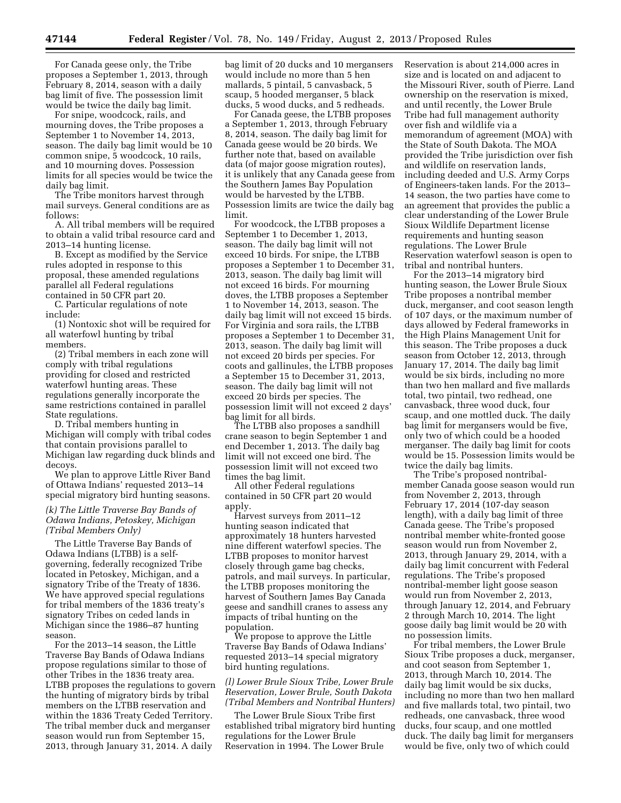For Canada geese only, the Tribe proposes a September 1, 2013, through February 8, 2014, season with a daily bag limit of five. The possession limit would be twice the daily bag limit.

For snipe, woodcock, rails, and mourning doves, the Tribe proposes a September 1 to November 14, 2013, season. The daily bag limit would be 10 common snipe, 5 woodcock, 10 rails, and 10 mourning doves. Possession limits for all species would be twice the daily bag limit.

The Tribe monitors harvest through mail surveys. General conditions are as follows:

A. All tribal members will be required to obtain a valid tribal resource card and 2013–14 hunting license.

B. Except as modified by the Service rules adopted in response to this proposal, these amended regulations parallel all Federal regulations contained in 50 CFR part 20.

C. Particular regulations of note include:

(1) Nontoxic shot will be required for all waterfowl hunting by tribal members.

(2) Tribal members in each zone will comply with tribal regulations providing for closed and restricted waterfowl hunting areas. These regulations generally incorporate the same restrictions contained in parallel State regulations.

D. Tribal members hunting in Michigan will comply with tribal codes that contain provisions parallel to Michigan law regarding duck blinds and decoys.

We plan to approve Little River Band of Ottawa Indians' requested 2013–14 special migratory bird hunting seasons.

# *(k) The Little Traverse Bay Bands of Odawa Indians, Petoskey, Michigan (Tribal Members Only)*

The Little Traverse Bay Bands of Odawa Indians (LTBB) is a selfgoverning, federally recognized Tribe located in Petoskey, Michigan, and a signatory Tribe of the Treaty of 1836. We have approved special regulations for tribal members of the 1836 treaty's signatory Tribes on ceded lands in Michigan since the 1986–87 hunting season.

For the 2013–14 season, the Little Traverse Bay Bands of Odawa Indians propose regulations similar to those of other Tribes in the 1836 treaty area. LTBB proposes the regulations to govern the hunting of migratory birds by tribal members on the LTBB reservation and within the 1836 Treaty Ceded Territory. The tribal member duck and merganser season would run from September 15, 2013, through January 31, 2014. A daily

bag limit of 20 ducks and 10 mergansers would include no more than 5 hen mallards, 5 pintail, 5 canvasback, 5 scaup, 5 hooded merganser, 5 black ducks, 5 wood ducks, and 5 redheads.

For Canada geese, the LTBB proposes a September 1, 2013, through February 8, 2014, season. The daily bag limit for Canada geese would be 20 birds. We further note that, based on available data (of major goose migration routes), it is unlikely that any Canada geese from the Southern James Bay Population would be harvested by the LTBB. Possession limits are twice the daily bag limit.

For woodcock, the LTBB proposes a September 1 to December 1, 2013, season. The daily bag limit will not exceed 10 birds. For snipe, the LTBB proposes a September 1 to December 31, 2013, season. The daily bag limit will not exceed 16 birds. For mourning doves, the LTBB proposes a September 1 to November 14, 2013, season. The daily bag limit will not exceed 15 birds. For Virginia and sora rails, the LTBB proposes a September 1 to December 31, 2013, season. The daily bag limit will not exceed 20 birds per species. For coots and gallinules, the LTBB proposes a September 15 to December 31, 2013, season. The daily bag limit will not exceed 20 birds per species. The possession limit will not exceed 2 days' bag limit for all birds.

The LTBB also proposes a sandhill crane season to begin September 1 and end December 1, 2013. The daily bag limit will not exceed one bird. The possession limit will not exceed two times the bag limit.

All other Federal regulations contained in 50 CFR part 20 would apply.

Harvest surveys from 2011–12 hunting season indicated that approximately 18 hunters harvested nine different waterfowl species. The LTBB proposes to monitor harvest closely through game bag checks, patrols, and mail surveys. In particular, the LTBB proposes monitoring the harvest of Southern James Bay Canada geese and sandhill cranes to assess any impacts of tribal hunting on the population.

We propose to approve the Little Traverse Bay Bands of Odawa Indians' requested 2013–14 special migratory bird hunting regulations.

#### *(l) Lower Brule Sioux Tribe, Lower Brule Reservation, Lower Brule, South Dakota (Tribal Members and Nontribal Hunters)*

The Lower Brule Sioux Tribe first established tribal migratory bird hunting regulations for the Lower Brule Reservation in 1994. The Lower Brule

Reservation is about 214,000 acres in size and is located on and adjacent to the Missouri River, south of Pierre. Land ownership on the reservation is mixed, and until recently, the Lower Brule Tribe had full management authority over fish and wildlife via a memorandum of agreement (MOA) with the State of South Dakota. The MOA provided the Tribe jurisdiction over fish and wildlife on reservation lands, including deeded and U.S. Army Corps of Engineers-taken lands. For the 2013– 14 season, the two parties have come to an agreement that provides the public a clear understanding of the Lower Brule Sioux Wildlife Department license requirements and hunting season regulations. The Lower Brule Reservation waterfowl season is open to tribal and nontribal hunters.

For the 2013–14 migratory bird hunting season, the Lower Brule Sioux Tribe proposes a nontribal member duck, merganser, and coot season length of 107 days, or the maximum number of days allowed by Federal frameworks in the High Plains Management Unit for this season. The Tribe proposes a duck season from October 12, 2013, through January 17, 2014. The daily bag limit would be six birds, including no more than two hen mallard and five mallards total, two pintail, two redhead, one canvasback, three wood duck, four scaup, and one mottled duck. The daily bag limit for mergansers would be five, only two of which could be a hooded merganser. The daily bag limit for coots would be 15. Possession limits would be twice the daily bag limits.

The Tribe's proposed nontribalmember Canada goose season would run from November 2, 2013, through February 17, 2014 (107-day season length), with a daily bag limit of three Canada geese. The Tribe's proposed nontribal member white-fronted goose season would run from November 2, 2013, through January 29, 2014, with a daily bag limit concurrent with Federal regulations. The Tribe's proposed nontribal-member light goose season would run from November 2, 2013, through January 12, 2014, and February 2 through March 10, 2014. The light goose daily bag limit would be 20 with no possession limits.

For tribal members, the Lower Brule Sioux Tribe proposes a duck, merganser, and coot season from September 1, 2013, through March 10, 2014. The daily bag limit would be six ducks, including no more than two hen mallard and five mallards total, two pintail, two redheads, one canvasback, three wood ducks, four scaup, and one mottled duck. The daily bag limit for mergansers would be five, only two of which could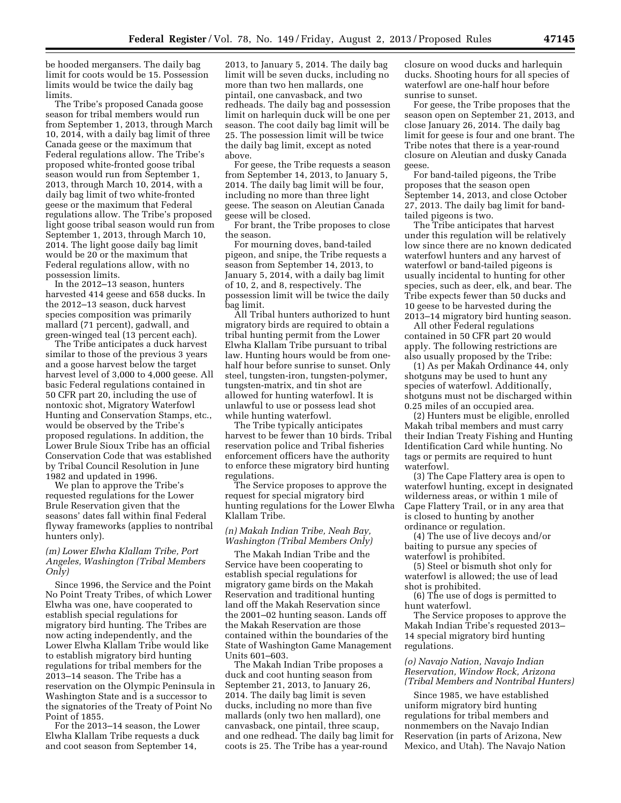be hooded mergansers. The daily bag limit for coots would be 15. Possession limits would be twice the daily bag limits.

The Tribe's proposed Canada goose season for tribal members would run from September 1, 2013, through March 10, 2014, with a daily bag limit of three Canada geese or the maximum that Federal regulations allow. The Tribe's proposed white-fronted goose tribal season would run from September 1, 2013, through March 10, 2014, with a daily bag limit of two white-fronted geese or the maximum that Federal regulations allow. The Tribe's proposed light goose tribal season would run from September 1, 2013, through March 10, 2014. The light goose daily bag limit would be 20 or the maximum that Federal regulations allow, with no possession limits.

In the 2012–13 season, hunters harvested 414 geese and 658 ducks. In the 2012–13 season, duck harvest species composition was primarily mallard (71 percent), gadwall, and green-winged teal (13 percent each).

The Tribe anticipates a duck harvest similar to those of the previous 3 years and a goose harvest below the target harvest level of 3,000 to 4,000 geese. All basic Federal regulations contained in 50 CFR part 20, including the use of nontoxic shot, Migratory Waterfowl Hunting and Conservation Stamps, etc., would be observed by the Tribe's proposed regulations. In addition, the Lower Brule Sioux Tribe has an official Conservation Code that was established by Tribal Council Resolution in June 1982 and updated in 1996.

We plan to approve the Tribe's requested regulations for the Lower Brule Reservation given that the seasons' dates fall within final Federal flyway frameworks (applies to nontribal hunters only).

#### *(m) Lower Elwha Klallam Tribe, Port Angeles, Washington (Tribal Members Only)*

Since 1996, the Service and the Point No Point Treaty Tribes, of which Lower Elwha was one, have cooperated to establish special regulations for migratory bird hunting. The Tribes are now acting independently, and the Lower Elwha Klallam Tribe would like to establish migratory bird hunting regulations for tribal members for the 2013–14 season. The Tribe has a reservation on the Olympic Peninsula in Washington State and is a successor to the signatories of the Treaty of Point No Point of 1855.

For the 2013–14 season, the Lower Elwha Klallam Tribe requests a duck and coot season from September 14,

2013, to January 5, 2014. The daily bag limit will be seven ducks, including no more than two hen mallards, one pintail, one canvasback, and two redheads. The daily bag and possession limit on harlequin duck will be one per season. The coot daily bag limit will be 25. The possession limit will be twice the daily bag limit, except as noted above.

For geese, the Tribe requests a season from September 14, 2013, to January 5, 2014. The daily bag limit will be four, including no more than three light geese. The season on Aleutian Canada geese will be closed.

For brant, the Tribe proposes to close the season.

For mourning doves, band-tailed pigeon, and snipe, the Tribe requests a season from September 14, 2013, to January 5, 2014, with a daily bag limit of 10, 2, and 8, respectively. The possession limit will be twice the daily bag limit.

All Tribal hunters authorized to hunt migratory birds are required to obtain a tribal hunting permit from the Lower Elwha Klallam Tribe pursuant to tribal law. Hunting hours would be from onehalf hour before sunrise to sunset. Only steel, tungsten-iron, tungsten-polymer, tungsten-matrix, and tin shot are allowed for hunting waterfowl. It is unlawful to use or possess lead shot while hunting waterfowl.

The Tribe typically anticipates harvest to be fewer than 10 birds. Tribal reservation police and Tribal fisheries enforcement officers have the authority to enforce these migratory bird hunting regulations.

The Service proposes to approve the request for special migratory bird hunting regulations for the Lower Elwha Klallam Tribe.

# *(n) Makah Indian Tribe, Neah Bay, Washington (Tribal Members Only)*

The Makah Indian Tribe and the Service have been cooperating to establish special regulations for migratory game birds on the Makah Reservation and traditional hunting land off the Makah Reservation since the 2001–02 hunting season. Lands off the Makah Reservation are those contained within the boundaries of the State of Washington Game Management Units 601–603.

The Makah Indian Tribe proposes a duck and coot hunting season from September 21, 2013, to January 26, 2014. The daily bag limit is seven ducks, including no more than five mallards (only two hen mallard), one canvasback, one pintail, three scaup, and one redhead. The daily bag limit for coots is 25. The Tribe has a year-round

closure on wood ducks and harlequin ducks. Shooting hours for all species of waterfowl are one-half hour before sunrise to sunset.

For geese, the Tribe proposes that the season open on September 21, 2013, and close January 26, 2014. The daily bag limit for geese is four and one brant. The Tribe notes that there is a year-round closure on Aleutian and dusky Canada geese.

For band-tailed pigeons, the Tribe proposes that the season open September 14, 2013, and close October 27, 2013. The daily bag limit for bandtailed pigeons is two.

The Tribe anticipates that harvest under this regulation will be relatively low since there are no known dedicated waterfowl hunters and any harvest of waterfowl or band-tailed pigeons is usually incidental to hunting for other species, such as deer, elk, and bear. The Tribe expects fewer than 50 ducks and 10 geese to be harvested during the 2013–14 migratory bird hunting season.

All other Federal regulations contained in 50 CFR part 20 would apply. The following restrictions are also usually proposed by the Tribe:

(1) As per Makah Ordinance 44, only shotguns may be used to hunt any species of waterfowl. Additionally, shotguns must not be discharged within 0.25 miles of an occupied area.

(2) Hunters must be eligible, enrolled Makah tribal members and must carry their Indian Treaty Fishing and Hunting Identification Card while hunting. No tags or permits are required to hunt waterfowl.

(3) The Cape Flattery area is open to waterfowl hunting, except in designated wilderness areas, or within 1 mile of Cape Flattery Trail, or in any area that is closed to hunting by another ordinance or regulation.

(4) The use of live decoys and/or baiting to pursue any species of waterfowl is prohibited.

(5) Steel or bismuth shot only for waterfowl is allowed; the use of lead shot is prohibited.

(6) The use of dogs is permitted to hunt waterfowl.

The Service proposes to approve the Makah Indian Tribe's requested 2013– 14 special migratory bird hunting regulations.

#### *(o) Navajo Nation, Navajo Indian Reservation, Window Rock, Arizona (Tribal Members and Nontribal Hunters)*

Since 1985, we have established uniform migratory bird hunting regulations for tribal members and nonmembers on the Navajo Indian Reservation (in parts of Arizona, New Mexico, and Utah). The Navajo Nation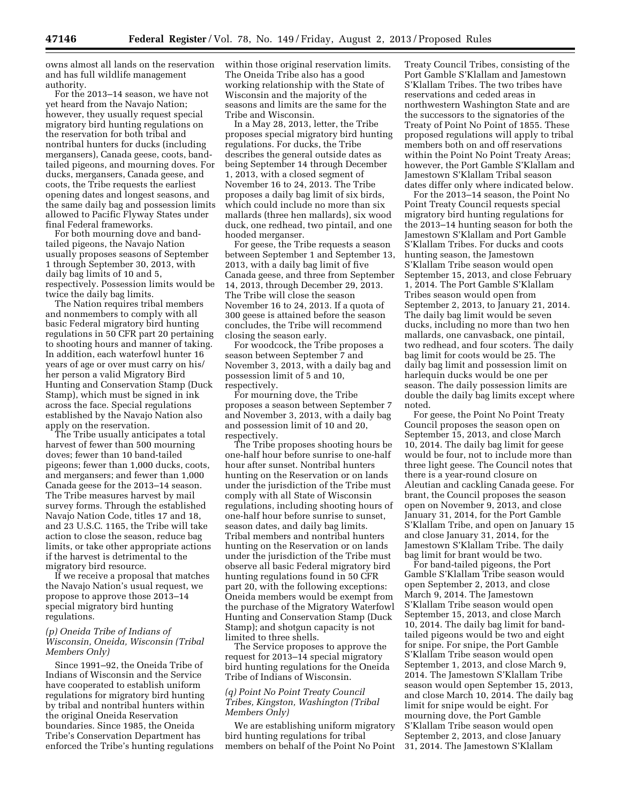owns almost all lands on the reservation and has full wildlife management authority.

For the 2013–14 season, we have not yet heard from the Navajo Nation; however, they usually request special migratory bird hunting regulations on the reservation for both tribal and nontribal hunters for ducks (including mergansers), Canada geese, coots, bandtailed pigeons, and mourning doves. For ducks, mergansers, Canada geese, and coots, the Tribe requests the earliest opening dates and longest seasons, and the same daily bag and possession limits allowed to Pacific Flyway States under final Federal frameworks.

For both mourning dove and bandtailed pigeons, the Navajo Nation usually proposes seasons of September 1 through September 30, 2013, with daily bag limits of 10 and 5, respectively. Possession limits would be twice the daily bag limits.

The Nation requires tribal members and nonmembers to comply with all basic Federal migratory bird hunting regulations in 50 CFR part 20 pertaining to shooting hours and manner of taking. In addition, each waterfowl hunter 16 years of age or over must carry on his/ her person a valid Migratory Bird Hunting and Conservation Stamp (Duck Stamp), which must be signed in ink across the face. Special regulations established by the Navajo Nation also apply on the reservation.

The Tribe usually anticipates a total harvest of fewer than 500 mourning doves; fewer than 10 band-tailed pigeons; fewer than 1,000 ducks, coots, and mergansers; and fewer than 1,000 Canada geese for the 2013–14 season. The Tribe measures harvest by mail survey forms. Through the established Navajo Nation Code, titles 17 and 18, and 23 U.S.C. 1165, the Tribe will take action to close the season, reduce bag limits, or take other appropriate actions if the harvest is detrimental to the migratory bird resource.

If we receive a proposal that matches the Navajo Nation's usual request, we propose to approve those 2013–14 special migratory bird hunting regulations.

# *(p) Oneida Tribe of Indians of Wisconsin, Oneida, Wisconsin (Tribal Members Only)*

Since 1991–92, the Oneida Tribe of Indians of Wisconsin and the Service have cooperated to establish uniform regulations for migratory bird hunting by tribal and nontribal hunters within the original Oneida Reservation boundaries. Since 1985, the Oneida Tribe's Conservation Department has enforced the Tribe's hunting regulations within those original reservation limits. The Oneida Tribe also has a good working relationship with the State of Wisconsin and the majority of the seasons and limits are the same for the Tribe and Wisconsin.

In a May 28, 2013, letter, the Tribe proposes special migratory bird hunting regulations. For ducks, the Tribe describes the general outside dates as being September 14 through December 1, 2013, with a closed segment of November 16 to 24, 2013. The Tribe proposes a daily bag limit of six birds, which could include no more than six mallards (three hen mallards), six wood duck, one redhead, two pintail, and one hooded merganser.

For geese, the Tribe requests a season between September 1 and September 13, 2013, with a daily bag limit of five Canada geese, and three from September 14, 2013, through December 29, 2013. The Tribe will close the season November 16 to 24, 2013. If a quota of 300 geese is attained before the season concludes, the Tribe will recommend closing the season early.

For woodcock, the Tribe proposes a season between September 7 and November 3, 2013, with a daily bag and possession limit of 5 and 10, respectively.

For mourning dove, the Tribe proposes a season between September 7 and November 3, 2013, with a daily bag and possession limit of 10 and 20, respectively.

The Tribe proposes shooting hours be one-half hour before sunrise to one-half hour after sunset. Nontribal hunters hunting on the Reservation or on lands under the jurisdiction of the Tribe must comply with all State of Wisconsin regulations, including shooting hours of one-half hour before sunrise to sunset, season dates, and daily bag limits. Tribal members and nontribal hunters hunting on the Reservation or on lands under the jurisdiction of the Tribe must observe all basic Federal migratory bird hunting regulations found in 50 CFR part 20, with the following exceptions: Oneida members would be exempt from the purchase of the Migratory Waterfowl Hunting and Conservation Stamp (Duck Stamp); and shotgun capacity is not limited to three shells.

The Service proposes to approve the request for 2013–14 special migratory bird hunting regulations for the Oneida Tribe of Indians of Wisconsin.

# *(q) Point No Point Treaty Council Tribes, Kingston, Washington (Tribal Members Only)*

We are establishing uniform migratory bird hunting regulations for tribal members on behalf of the Point No Point

Treaty Council Tribes, consisting of the Port Gamble S'Klallam and Jamestown S'Klallam Tribes. The two tribes have reservations and ceded areas in northwestern Washington State and are the successors to the signatories of the Treaty of Point No Point of 1855. These proposed regulations will apply to tribal members both on and off reservations within the Point No Point Treaty Areas; however, the Port Gamble S'Klallam and Jamestown S'Klallam Tribal season dates differ only where indicated below.

For the 2013–14 season, the Point No Point Treaty Council requests special migratory bird hunting regulations for the 2013–14 hunting season for both the Jamestown S'Klallam and Port Gamble S'Klallam Tribes. For ducks and coots hunting season, the Jamestown S'Klallam Tribe season would open September 15, 2013, and close February 1, 2014. The Port Gamble S'Klallam Tribes season would open from September 2, 2013, to January 21, 2014. The daily bag limit would be seven ducks, including no more than two hen mallards, one canvasback, one pintail, two redhead, and four scoters. The daily bag limit for coots would be 25. The daily bag limit and possession limit on harlequin ducks would be one per season. The daily possession limits are double the daily bag limits except where noted.

For geese, the Point No Point Treaty Council proposes the season open on September 15, 2013, and close March 10, 2014. The daily bag limit for geese would be four, not to include more than three light geese. The Council notes that there is a year-round closure on Aleutian and cackling Canada geese. For brant, the Council proposes the season open on November 9, 2013, and close January 31, 2014, for the Port Gamble S'Klallam Tribe, and open on January 15 and close January 31, 2014, for the Jamestown S'Klallam Tribe. The daily bag limit for brant would be two.

For band-tailed pigeons, the Port Gamble S'Klallam Tribe season would open September 2, 2013, and close March 9, 2014. The Jamestown S'Klallam Tribe season would open September 15, 2013, and close March 10, 2014. The daily bag limit for bandtailed pigeons would be two and eight for snipe. For snipe, the Port Gamble S'Klallam Tribe season would open September 1, 2013, and close March 9, 2014. The Jamestown S'Klallam Tribe season would open September 15, 2013, and close March 10, 2014. The daily bag limit for snipe would be eight. For mourning dove, the Port Gamble S'Klallam Tribe season would open September 2, 2013, and close January 31, 2014. The Jamestown S'Klallam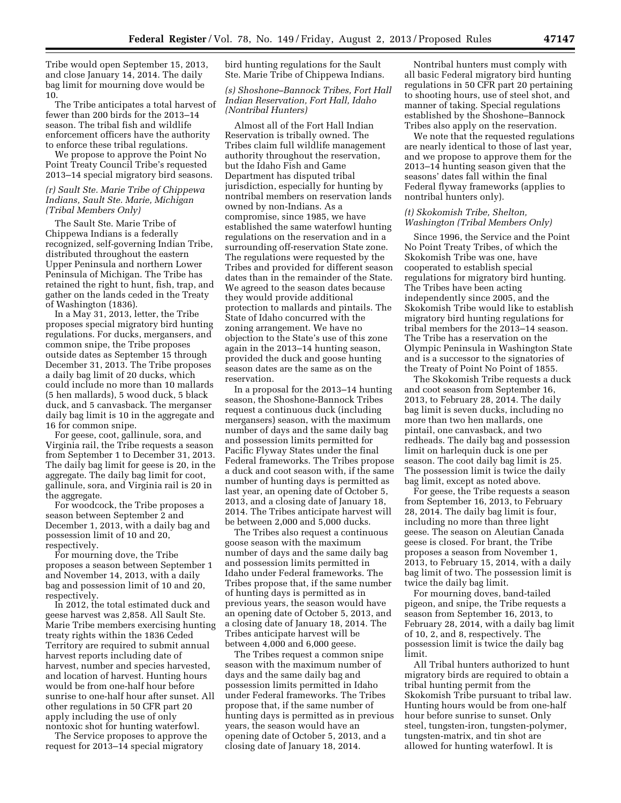Tribe would open September 15, 2013, and close January 14, 2014. The daily bag limit for mourning dove would be 10.

The Tribe anticipates a total harvest of fewer than 200 birds for the 2013–14 season. The tribal fish and wildlife enforcement officers have the authority to enforce these tribal regulations.

We propose to approve the Point No Point Treaty Council Tribe's requested 2013–14 special migratory bird seasons.

# *(r) Sault Ste. Marie Tribe of Chippewa Indians, Sault Ste. Marie, Michigan (Tribal Members Only)*

The Sault Ste. Marie Tribe of Chippewa Indians is a federally recognized, self-governing Indian Tribe, distributed throughout the eastern Upper Peninsula and northern Lower Peninsula of Michigan. The Tribe has retained the right to hunt, fish, trap, and gather on the lands ceded in the Treaty of Washington (1836).

In a May 31, 2013, letter, the Tribe proposes special migratory bird hunting regulations. For ducks, mergansers, and common snipe, the Tribe proposes outside dates as September 15 through December 31, 2013. The Tribe proposes a daily bag limit of 20 ducks, which could include no more than 10 mallards (5 hen mallards), 5 wood duck, 5 black duck, and 5 canvasback. The merganser daily bag limit is 10 in the aggregate and 16 for common snipe.

For geese, coot, gallinule, sora, and Virginia rail, the Tribe requests a season from September 1 to December 31, 2013. The daily bag limit for geese is 20, in the aggregate. The daily bag limit for coot, gallinule, sora, and Virginia rail is 20 in the aggregate.

For woodcock, the Tribe proposes a season between September 2 and December 1, 2013, with a daily bag and possession limit of 10 and 20, respectively.

For mourning dove, the Tribe proposes a season between September 1 and November 14, 2013, with a daily bag and possession limit of 10 and 20, respectively.

In 2012, the total estimated duck and geese harvest was 2,858. All Sault Ste. Marie Tribe members exercising hunting treaty rights within the 1836 Ceded Territory are required to submit annual harvest reports including date of harvest, number and species harvested, and location of harvest. Hunting hours would be from one-half hour before sunrise to one-half hour after sunset. All other regulations in 50 CFR part 20 apply including the use of only nontoxic shot for hunting waterfowl.

The Service proposes to approve the request for 2013–14 special migratory

bird hunting regulations for the Sault Ste. Marie Tribe of Chippewa Indians.

## *(s) Shoshone–Bannock Tribes, Fort Hall Indian Reservation, Fort Hall, Idaho (Nontribal Hunters)*

Almost all of the Fort Hall Indian Reservation is tribally owned. The Tribes claim full wildlife management authority throughout the reservation, but the Idaho Fish and Game Department has disputed tribal jurisdiction, especially for hunting by nontribal members on reservation lands owned by non-Indians. As a compromise, since 1985, we have established the same waterfowl hunting regulations on the reservation and in a surrounding off-reservation State zone. The regulations were requested by the Tribes and provided for different season dates than in the remainder of the State. We agreed to the season dates because they would provide additional protection to mallards and pintails. The State of Idaho concurred with the zoning arrangement. We have no objection to the State's use of this zone again in the 2013–14 hunting season, provided the duck and goose hunting season dates are the same as on the reservation.

In a proposal for the 2013–14 hunting season, the Shoshone-Bannock Tribes request a continuous duck (including mergansers) season, with the maximum number of days and the same daily bag and possession limits permitted for Pacific Flyway States under the final Federal frameworks. The Tribes propose a duck and coot season with, if the same number of hunting days is permitted as last year, an opening date of October 5, 2013, and a closing date of January 18, 2014. The Tribes anticipate harvest will be between 2,000 and 5,000 ducks.

The Tribes also request a continuous goose season with the maximum number of days and the same daily bag and possession limits permitted in Idaho under Federal frameworks. The Tribes propose that, if the same number of hunting days is permitted as in previous years, the season would have an opening date of October 5, 2013, and a closing date of January 18, 2014. The Tribes anticipate harvest will be between 4,000 and 6,000 geese.

The Tribes request a common snipe season with the maximum number of days and the same daily bag and possession limits permitted in Idaho under Federal frameworks. The Tribes propose that, if the same number of hunting days is permitted as in previous years, the season would have an opening date of October 5, 2013, and a closing date of January 18, 2014.

Nontribal hunters must comply with all basic Federal migratory bird hunting regulations in 50 CFR part 20 pertaining to shooting hours, use of steel shot, and manner of taking. Special regulations established by the Shoshone–Bannock Tribes also apply on the reservation.

We note that the requested regulations are nearly identical to those of last year, and we propose to approve them for the 2013–14 hunting season given that the seasons' dates fall within the final Federal flyway frameworks (applies to nontribal hunters only).

#### *(t) Skokomish Tribe, Shelton, Washington (Tribal Members Only)*

Since 1996, the Service and the Point No Point Treaty Tribes, of which the Skokomish Tribe was one, have cooperated to establish special regulations for migratory bird hunting. The Tribes have been acting independently since 2005, and the Skokomish Tribe would like to establish migratory bird hunting regulations for tribal members for the 2013–14 season. The Tribe has a reservation on the Olympic Peninsula in Washington State and is a successor to the signatories of the Treaty of Point No Point of 1855.

The Skokomish Tribe requests a duck and coot season from September 16, 2013, to February 28, 2014. The daily bag limit is seven ducks, including no more than two hen mallards, one pintail, one canvasback, and two redheads. The daily bag and possession limit on harlequin duck is one per season. The coot daily bag limit is 25. The possession limit is twice the daily bag limit, except as noted above.

For geese, the Tribe requests a season from September 16, 2013, to February 28, 2014. The daily bag limit is four, including no more than three light geese. The season on Aleutian Canada geese is closed. For brant, the Tribe proposes a season from November 1, 2013, to February 15, 2014, with a daily bag limit of two. The possession limit is twice the daily bag limit.

For mourning doves, band-tailed pigeon, and snipe, the Tribe requests a season from September 16, 2013, to February 28, 2014, with a daily bag limit of 10, 2, and 8, respectively. The possession limit is twice the daily bag limit.

All Tribal hunters authorized to hunt migratory birds are required to obtain a tribal hunting permit from the Skokomish Tribe pursuant to tribal law. Hunting hours would be from one-half hour before sunrise to sunset. Only steel, tungsten-iron, tungsten-polymer, tungsten-matrix, and tin shot are allowed for hunting waterfowl. It is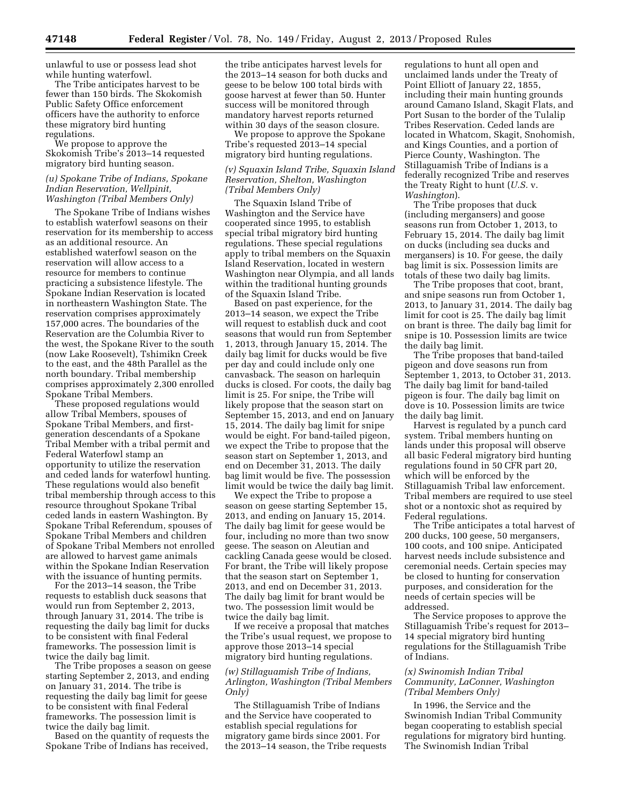unlawful to use or possess lead shot while hunting waterfowl.

The Tribe anticipates harvest to be fewer than 150 birds. The Skokomish Public Safety Office enforcement officers have the authority to enforce these migratory bird hunting regulations.

We propose to approve the Skokomish Tribe's 2013–14 requested migratory bird hunting season.

## *(u) Spokane Tribe of Indians, Spokane Indian Reservation, Wellpinit, Washington (Tribal Members Only)*

The Spokane Tribe of Indians wishes to establish waterfowl seasons on their reservation for its membership to access as an additional resource. An established waterfowl season on the reservation will allow access to a resource for members to continue practicing a subsistence lifestyle. The Spokane Indian Reservation is located in northeastern Washington State. The reservation comprises approximately 157,000 acres. The boundaries of the Reservation are the Columbia River to the west, the Spokane River to the south (now Lake Roosevelt), Tshimikn Creek to the east, and the 48th Parallel as the north boundary. Tribal membership comprises approximately 2,300 enrolled Spokane Tribal Members.

These proposed regulations would allow Tribal Members, spouses of Spokane Tribal Members, and firstgeneration descendants of a Spokane Tribal Member with a tribal permit and Federal Waterfowl stamp an opportunity to utilize the reservation and ceded lands for waterfowl hunting. These regulations would also benefit tribal membership through access to this resource throughout Spokane Tribal ceded lands in eastern Washington. By Spokane Tribal Referendum, spouses of Spokane Tribal Members and children of Spokane Tribal Members not enrolled are allowed to harvest game animals within the Spokane Indian Reservation with the issuance of hunting permits.

For the 2013–14 season, the Tribe requests to establish duck seasons that would run from September 2, 2013, through January 31, 2014. The tribe is requesting the daily bag limit for ducks to be consistent with final Federal frameworks. The possession limit is twice the daily bag limit.

The Tribe proposes a season on geese starting September 2, 2013, and ending on January 31, 2014. The tribe is requesting the daily bag limit for geese to be consistent with final Federal frameworks. The possession limit is twice the daily bag limit.

Based on the quantity of requests the Spokane Tribe of Indians has received,

the tribe anticipates harvest levels for the 2013–14 season for both ducks and geese to be below 100 total birds with goose harvest at fewer than 50. Hunter success will be monitored through mandatory harvest reports returned within 30 days of the season closure.

We propose to approve the Spokane Tribe's requested 2013–14 special migratory bird hunting regulations.

# *(v) Squaxin Island Tribe, Squaxin Island Reservation, Shelton, Washington (Tribal Members Only)*

The Squaxin Island Tribe of Washington and the Service have cooperated since 1995, to establish special tribal migratory bird hunting regulations. These special regulations apply to tribal members on the Squaxin Island Reservation, located in western Washington near Olympia, and all lands within the traditional hunting grounds of the Squaxin Island Tribe.

Based on past experience, for the 2013–14 season, we expect the Tribe will request to establish duck and coot seasons that would run from September 1, 2013, through January 15, 2014. The daily bag limit for ducks would be five per day and could include only one canvasback. The season on harlequin ducks is closed. For coots, the daily bag limit is 25. For snipe, the Tribe will likely propose that the season start on September 15, 2013, and end on January 15, 2014. The daily bag limit for snipe would be eight. For band-tailed pigeon, we expect the Tribe to propose that the season start on September 1, 2013, and end on December 31, 2013. The daily bag limit would be five. The possession limit would be twice the daily bag limit.

We expect the Tribe to propose a season on geese starting September 15, 2013, and ending on January 15, 2014. The daily bag limit for geese would be four, including no more than two snow geese. The season on Aleutian and cackling Canada geese would be closed. For brant, the Tribe will likely propose that the season start on September 1, 2013, and end on December 31, 2013. The daily bag limit for brant would be two. The possession limit would be twice the daily bag limit.

If we receive a proposal that matches the Tribe's usual request, we propose to approve those 2013–14 special migratory bird hunting regulations.

# *(w) Stillaguamish Tribe of Indians, Arlington, Washington (Tribal Members Only)*

The Stillaguamish Tribe of Indians and the Service have cooperated to establish special regulations for migratory game birds since 2001. For the 2013–14 season, the Tribe requests regulations to hunt all open and unclaimed lands under the Treaty of Point Elliott of January 22, 1855, including their main hunting grounds around Camano Island, Skagit Flats, and Port Susan to the border of the Tulalip Tribes Reservation. Ceded lands are located in Whatcom, Skagit, Snohomish, and Kings Counties, and a portion of Pierce County, Washington. The Stillaguamish Tribe of Indians is a federally recognized Tribe and reserves the Treaty Right to hunt (*U.S.* v. *Washington*).

The Tribe proposes that duck (including mergansers) and goose seasons run from October 1, 2013, to February 15, 2014. The daily bag limit on ducks (including sea ducks and mergansers) is 10. For geese, the daily bag limit is six. Possession limits are totals of these two daily bag limits.

The Tribe proposes that coot, brant, and snipe seasons run from October 1, 2013, to January 31, 2014. The daily bag limit for coot is 25. The daily bag limit on brant is three. The daily bag limit for snipe is 10. Possession limits are twice the daily bag limit.

The Tribe proposes that band-tailed pigeon and dove seasons run from September 1, 2013, to October 31, 2013. The daily bag limit for band-tailed pigeon is four. The daily bag limit on dove is 10. Possession limits are twice the daily bag limit.

Harvest is regulated by a punch card system. Tribal members hunting on lands under this proposal will observe all basic Federal migratory bird hunting regulations found in 50 CFR part 20, which will be enforced by the Stillaguamish Tribal law enforcement. Tribal members are required to use steel shot or a nontoxic shot as required by Federal regulations.

The Tribe anticipates a total harvest of 200 ducks, 100 geese, 50 mergansers, 100 coots, and 100 snipe. Anticipated harvest needs include subsistence and ceremonial needs. Certain species may be closed to hunting for conservation purposes, and consideration for the needs of certain species will be addressed.

The Service proposes to approve the Stillaguamish Tribe's request for 2013– 14 special migratory bird hunting regulations for the Stillaguamish Tribe of Indians.

# *(x) Swinomish Indian Tribal Community, LaConner, Washington (Tribal Members Only)*

In 1996, the Service and the Swinomish Indian Tribal Community began cooperating to establish special regulations for migratory bird hunting. The Swinomish Indian Tribal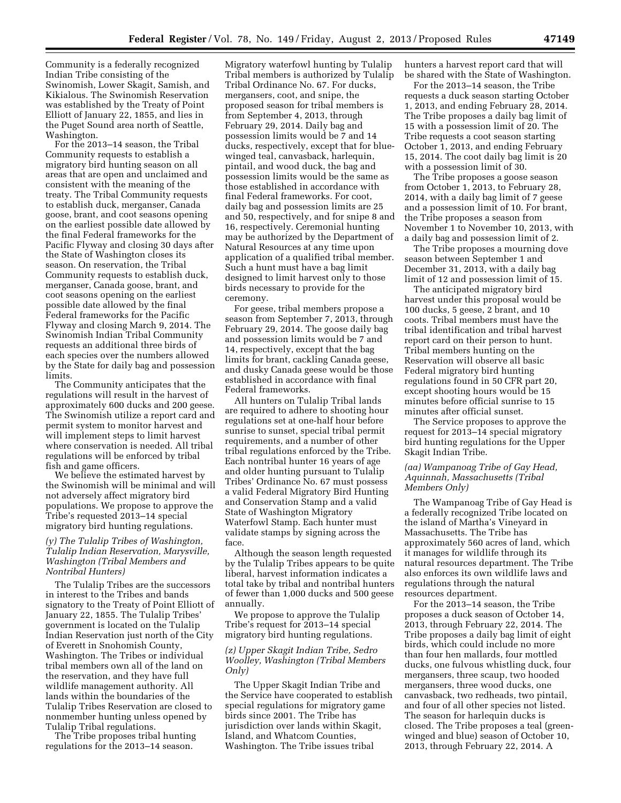Community is a federally recognized Indian Tribe consisting of the Swinomish, Lower Skagit, Samish, and Kikialous. The Swinomish Reservation was established by the Treaty of Point Elliott of January 22, 1855, and lies in the Puget Sound area north of Seattle, Washington.

For the 2013–14 season, the Tribal Community requests to establish a migratory bird hunting season on all areas that are open and unclaimed and consistent with the meaning of the treaty. The Tribal Community requests to establish duck, merganser, Canada goose, brant, and coot seasons opening on the earliest possible date allowed by the final Federal frameworks for the Pacific Flyway and closing 30 days after the State of Washington closes its season. On reservation, the Tribal Community requests to establish duck, merganser, Canada goose, brant, and coot seasons opening on the earliest possible date allowed by the final Federal frameworks for the Pacific Flyway and closing March 9, 2014. The Swinomish Indian Tribal Community requests an additional three birds of each species over the numbers allowed by the State for daily bag and possession limits.

The Community anticipates that the regulations will result in the harvest of approximately 600 ducks and 200 geese. The Swinomish utilize a report card and permit system to monitor harvest and will implement steps to limit harvest where conservation is needed. All tribal regulations will be enforced by tribal fish and game officers.

We believe the estimated harvest by the Swinomish will be minimal and will not adversely affect migratory bird populations. We propose to approve the Tribe's requested 2013–14 special migratory bird hunting regulations.

# *(y) The Tulalip Tribes of Washington, Tulalip Indian Reservation, Marysville, Washington (Tribal Members and Nontribal Hunters)*

The Tulalip Tribes are the successors in interest to the Tribes and bands signatory to the Treaty of Point Elliott of January 22, 1855. The Tulalip Tribes' government is located on the Tulalip Indian Reservation just north of the City of Everett in Snohomish County, Washington. The Tribes or individual tribal members own all of the land on the reservation, and they have full wildlife management authority. All lands within the boundaries of the Tulalip Tribes Reservation are closed to nonmember hunting unless opened by Tulalip Tribal regulations.

The Tribe proposes tribal hunting regulations for the 2013–14 season.

Migratory waterfowl hunting by Tulalip Tribal members is authorized by Tulalip Tribal Ordinance No. 67. For ducks, mergansers, coot, and snipe, the proposed season for tribal members is from September 4, 2013, through February 29, 2014. Daily bag and possession limits would be 7 and 14 ducks, respectively, except that for bluewinged teal, canvasback, harlequin, pintail, and wood duck, the bag and possession limits would be the same as those established in accordance with final Federal frameworks. For coot, daily bag and possession limits are 25 and 50, respectively, and for snipe 8 and 16, respectively. Ceremonial hunting may be authorized by the Department of Natural Resources at any time upon application of a qualified tribal member. Such a hunt must have a bag limit designed to limit harvest only to those birds necessary to provide for the ceremony.

For geese, tribal members propose a season from September 7, 2013, through February 29, 2014. The goose daily bag and possession limits would be 7 and 14, respectively, except that the bag limits for brant, cackling Canada geese, and dusky Canada geese would be those established in accordance with final Federal frameworks.

All hunters on Tulalip Tribal lands are required to adhere to shooting hour regulations set at one-half hour before sunrise to sunset, special tribal permit requirements, and a number of other tribal regulations enforced by the Tribe. Each nontribal hunter 16 years of age and older hunting pursuant to Tulalip Tribes' Ordinance No. 67 must possess a valid Federal Migratory Bird Hunting and Conservation Stamp and a valid State of Washington Migratory Waterfowl Stamp. Each hunter must validate stamps by signing across the face.

Although the season length requested by the Tulalip Tribes appears to be quite liberal, harvest information indicates a total take by tribal and nontribal hunters of fewer than 1,000 ducks and 500 geese annually.

We propose to approve the Tulalip Tribe's request for 2013–14 special migratory bird hunting regulations.

#### *(z) Upper Skagit Indian Tribe, Sedro Woolley, Washington (Tribal Members Only)*

The Upper Skagit Indian Tribe and the Service have cooperated to establish special regulations for migratory game birds since 2001. The Tribe has jurisdiction over lands within Skagit, Island, and Whatcom Counties, Washington. The Tribe issues tribal

hunters a harvest report card that will be shared with the State of Washington.

For the 2013–14 season, the Tribe requests a duck season starting October 1, 2013, and ending February 28, 2014. The Tribe proposes a daily bag limit of 15 with a possession limit of 20. The Tribe requests a coot season starting October 1, 2013, and ending February 15, 2014. The coot daily bag limit is 20 with a possession limit of 30.

The Tribe proposes a goose season from October 1, 2013, to February 28, 2014, with a daily bag limit of 7 geese and a possession limit of 10. For brant, the Tribe proposes a season from November 1 to November 10, 2013, with a daily bag and possession limit of 2.

The Tribe proposes a mourning dove season between September 1 and December 31, 2013, with a daily bag limit of 12 and possession limit of 15.

The anticipated migratory bird harvest under this proposal would be 100 ducks, 5 geese, 2 brant, and 10 coots. Tribal members must have the tribal identification and tribal harvest report card on their person to hunt. Tribal members hunting on the Reservation will observe all basic Federal migratory bird hunting regulations found in 50 CFR part 20, except shooting hours would be 15 minutes before official sunrise to 15 minutes after official sunset.

The Service proposes to approve the request for 2013–14 special migratory bird hunting regulations for the Upper Skagit Indian Tribe.

#### *(aa) Wampanoag Tribe of Gay Head, Aquinnah, Massachusetts (Tribal Members Only)*

The Wampanoag Tribe of Gay Head is a federally recognized Tribe located on the island of Martha's Vineyard in Massachusetts. The Tribe has approximately 560 acres of land, which it manages for wildlife through its natural resources department. The Tribe also enforces its own wildlife laws and regulations through the natural resources department.

For the 2013–14 season, the Tribe proposes a duck season of October 14, 2013, through February 22, 2014. The Tribe proposes a daily bag limit of eight birds, which could include no more than four hen mallards, four mottled ducks, one fulvous whistling duck, four mergansers, three scaup, two hooded mergansers, three wood ducks, one canvasback, two redheads, two pintail, and four of all other species not listed. The season for harlequin ducks is closed. The Tribe proposes a teal (greenwinged and blue) season of October 10, 2013, through February 22, 2014. A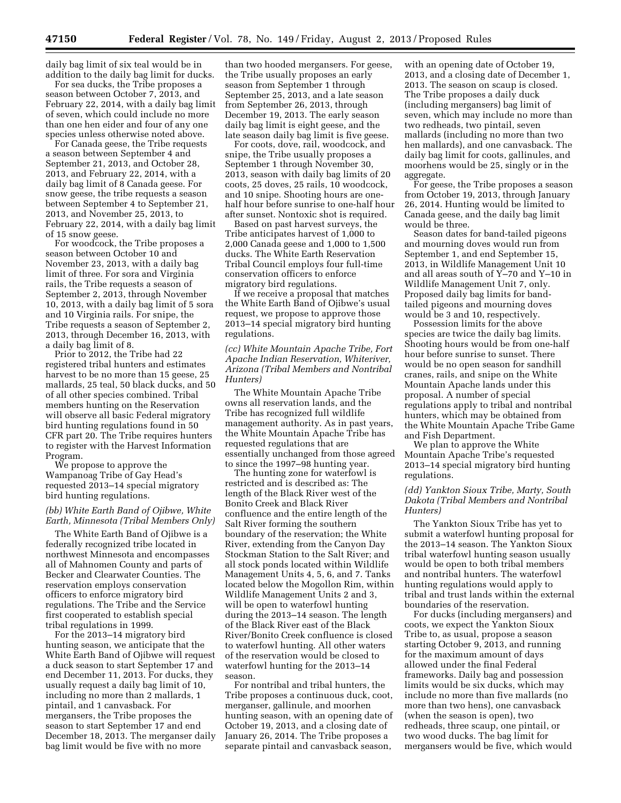daily bag limit of six teal would be in addition to the daily bag limit for ducks.

For sea ducks, the Tribe proposes a season between October 7, 2013, and February 22, 2014, with a daily bag limit of seven, which could include no more than one hen eider and four of any one species unless otherwise noted above.

For Canada geese, the Tribe requests a season between September 4 and September 21, 2013, and October 28, 2013, and February 22, 2014, with a daily bag limit of 8 Canada geese. For snow geese, the tribe requests a season between September 4 to September 21, 2013, and November 25, 2013, to February 22, 2014, with a daily bag limit of 15 snow geese.

For woodcock, the Tribe proposes a season between October 10 and November 23, 2013, with a daily bag limit of three. For sora and Virginia rails, the Tribe requests a season of September 2, 2013, through November 10, 2013, with a daily bag limit of 5 sora and 10 Virginia rails. For snipe, the Tribe requests a season of September 2, 2013, through December 16, 2013, with a daily bag limit of 8.

Prior to 2012, the Tribe had 22 registered tribal hunters and estimates harvest to be no more than 15 geese, 25 mallards, 25 teal, 50 black ducks, and 50 of all other species combined. Tribal members hunting on the Reservation will observe all basic Federal migratory bird hunting regulations found in 50 CFR part 20. The Tribe requires hunters to register with the Harvest Information Program.

We propose to approve the Wampanoag Tribe of Gay Head's requested 2013–14 special migratory bird hunting regulations.

# *(bb) White Earth Band of Ojibwe, White Earth, Minnesota (Tribal Members Only)*

The White Earth Band of Ojibwe is a federally recognized tribe located in northwest Minnesota and encompasses all of Mahnomen County and parts of Becker and Clearwater Counties. The reservation employs conservation officers to enforce migratory bird regulations. The Tribe and the Service first cooperated to establish special tribal regulations in 1999.

For the 2013–14 migratory bird hunting season, we anticipate that the White Earth Band of Ojibwe will request a duck season to start September 17 and end December 11, 2013. For ducks, they usually request a daily bag limit of 10, including no more than 2 mallards, 1 pintail, and 1 canvasback. For mergansers, the Tribe proposes the season to start September 17 and end December 18, 2013. The merganser daily bag limit would be five with no more

than two hooded mergansers. For geese, the Tribe usually proposes an early season from September 1 through September 25, 2013, and a late season from September 26, 2013, through December 19, 2013. The early season daily bag limit is eight geese, and the late season daily bag limit is five geese.

For coots, dove, rail, woodcock, and snipe, the Tribe usually proposes a September 1 through November 30, 2013, season with daily bag limits of 20 coots, 25 doves, 25 rails, 10 woodcock, and 10 snipe. Shooting hours are onehalf hour before sunrise to one-half hour after sunset. Nontoxic shot is required.

Based on past harvest surveys, the Tribe anticipates harvest of 1,000 to 2,000 Canada geese and 1,000 to 1,500 ducks. The White Earth Reservation Tribal Council employs four full-time conservation officers to enforce migratory bird regulations.

If we receive a proposal that matches the White Earth Band of Ojibwe's usual request, we propose to approve those 2013–14 special migratory bird hunting regulations.

*(cc) White Mountain Apache Tribe, Fort Apache Indian Reservation, Whiteriver, Arizona (Tribal Members and Nontribal Hunters)* 

The White Mountain Apache Tribe owns all reservation lands, and the Tribe has recognized full wildlife management authority. As in past years, the White Mountain Apache Tribe has requested regulations that are essentially unchanged from those agreed to since the 1997–98 hunting year.

The hunting zone for waterfowl is restricted and is described as: The length of the Black River west of the Bonito Creek and Black River confluence and the entire length of the Salt River forming the southern boundary of the reservation; the White River, extending from the Canyon Day Stockman Station to the Salt River; and all stock ponds located within Wildlife Management Units 4, 5, 6, and 7. Tanks located below the Mogollon Rim, within Wildlife Management Units 2 and 3, will be open to waterfowl hunting during the 2013–14 season. The length of the Black River east of the Black River/Bonito Creek confluence is closed to waterfowl hunting. All other waters of the reservation would be closed to waterfowl hunting for the 2013–14 season.

For nontribal and tribal hunters, the Tribe proposes a continuous duck, coot, merganser, gallinule, and moorhen hunting season, with an opening date of October 19, 2013, and a closing date of January 26, 2014. The Tribe proposes a separate pintail and canvasback season,

with an opening date of October 19, 2013, and a closing date of December 1, 2013. The season on scaup is closed. The Tribe proposes a daily duck (including mergansers) bag limit of seven, which may include no more than two redheads, two pintail, seven mallards (including no more than two hen mallards), and one canvasback. The daily bag limit for coots, gallinules, and moorhens would be 25, singly or in the aggregate.

For geese, the Tribe proposes a season from October 19, 2013, through January 26, 2014. Hunting would be limited to Canada geese, and the daily bag limit would be three.

Season dates for band-tailed pigeons and mourning doves would run from September 1, and end September 15, 2013, in Wildlife Management Unit 10 and all areas south of Y–70 and Y–10 in Wildlife Management Unit 7, only. Proposed daily bag limits for bandtailed pigeons and mourning doves would be 3 and 10, respectively.

Possession limits for the above species are twice the daily bag limits. Shooting hours would be from one-half hour before sunrise to sunset. There would be no open season for sandhill cranes, rails, and snipe on the White Mountain Apache lands under this proposal. A number of special regulations apply to tribal and nontribal hunters, which may be obtained from the White Mountain Apache Tribe Game and Fish Department.

We plan to approve the White Mountain Apache Tribe's requested 2013–14 special migratory bird hunting regulations.

## *(dd) Yankton Sioux Tribe, Marty, South Dakota (Tribal Members and Nontribal Hunters)*

The Yankton Sioux Tribe has yet to submit a waterfowl hunting proposal for the 2013–14 season. The Yankton Sioux tribal waterfowl hunting season usually would be open to both tribal members and nontribal hunters. The waterfowl hunting regulations would apply to tribal and trust lands within the external boundaries of the reservation.

For ducks (including mergansers) and coots, we expect the Yankton Sioux Tribe to, as usual, propose a season starting October 9, 2013, and running for the maximum amount of days allowed under the final Federal frameworks. Daily bag and possession limits would be six ducks, which may include no more than five mallards (no more than two hens), one canvasback (when the season is open), two redheads, three scaup, one pintail, or two wood ducks. The bag limit for mergansers would be five, which would